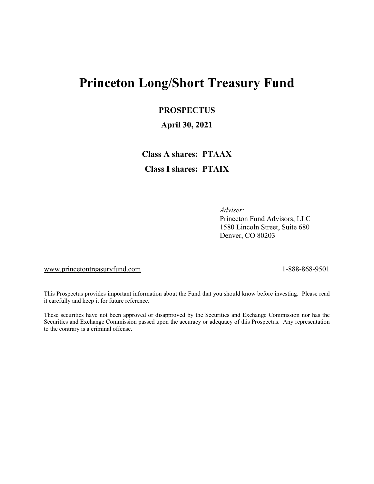# **Princeton Long/Short Treasury Fund**

### **PROSPECTUS**

### **April 30, 2021**

**Class A shares: PTAAX Class I shares: PTAIX**

> *Adviser:* Princeton Fund Advisors, LLC 1580 Lincoln Street, Suite 680 Denver, CO 80203

[www.princetontreasuryfund.com](http://www.princetontreasuryfund.com/) 1-888-868-9501

This Prospectus provides important information about the Fund that you should know before investing. Please read it carefully and keep it for future reference.

These securities have not been approved or disapproved by the Securities and Exchange Commission nor has the Securities and Exchange Commission passed upon the accuracy or adequacy of this Prospectus. Any representation to the contrary is a criminal offense.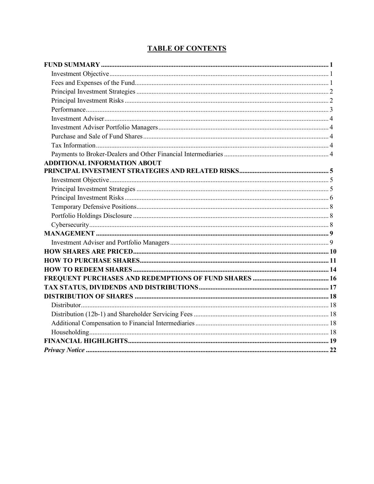### **TABLE OF CONTENTS**

| <b>ADDITIONAL INFORMATION ABOUT</b> |  |
|-------------------------------------|--|
|                                     |  |
|                                     |  |
|                                     |  |
|                                     |  |
|                                     |  |
|                                     |  |
|                                     |  |
|                                     |  |
|                                     |  |
|                                     |  |
|                                     |  |
|                                     |  |
|                                     |  |
|                                     |  |
|                                     |  |
|                                     |  |
|                                     |  |
|                                     |  |
|                                     |  |
|                                     |  |
|                                     |  |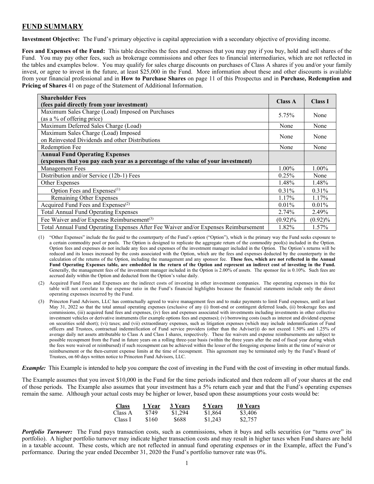### <span id="page-4-0"></span>**FUND SUMMARY**

<span id="page-4-1"></span>**Investment Objective:** The Fund's primary objective is capital appreciation with a secondary objective of providing income.

<span id="page-4-2"></span>**Fees and Expenses of the Fund:** This table describes the fees and expenses that you may pay if you buy, hold and sell shares of the Fund. You may pay other fees, such as brokerage commissions and other fees to financial intermediaries, which are not reflected in the tables and examples below. You may qualify for sales charge discounts on purchases of Class A shares if you and/or your family invest, or agree to invest in the future, at least \$25,000 in the Fund. More information about these and other discounts is available from your financial professional and in **How to Purchase Shares** on page 11 of this Prospectus and in **Purchase, Redemption and Pricing of Shares** 41 on page of the Statement of Additional Information.

| <b>Shareholder Fees</b><br>(fees paid directly from your investment)                | <b>Class A</b> | <b>Class I</b> |
|-------------------------------------------------------------------------------------|----------------|----------------|
| Maximum Sales Charge (Load) Imposed on Purchases                                    | 5.75%          | None           |
| (as a % of offering price)                                                          |                |                |
| Maximum Deferred Sales Charge (Load)                                                | None           | None           |
| Maximum Sales Charge (Load) Imposed                                                 | None           | None           |
| on Reinvested Dividends and other Distributions                                     |                |                |
| Redemption Fee                                                                      | None           | None           |
| <b>Annual Fund Operating Expenses</b>                                               |                |                |
| (expenses that you pay each year as a percentage of the value of your investment)   |                |                |
| <b>Management Fees</b>                                                              | 1.00%          | 1.00%          |
| Distribution and/or Service (12b-1) Fees                                            | 0.25%          | None           |
| Other Expenses                                                                      | 1.48%          | 1.48%          |
| Option Fees and Expenses <sup>(1)</sup>                                             | 0.31%          | 0.31%          |
| Remaining Other Expenses                                                            | 1.17%          | 1.17%          |
| Acquired Fund Fees and Expenses <sup>(2)</sup>                                      | $0.01\%$       | $0.01\%$       |
| <b>Total Annual Fund Operating Expenses</b>                                         | 2.74%          | 2.49%          |
| Fee Waiver and/or Expense Reimbursement <sup>(3)</sup>                              | $(0.92)\%$     | $(0.92)\%$     |
| Total Annual Fund Operating Expenses After Fee Waiver and/or Expenses Reimbursement | 1.82%          | 1.57%          |

(1) "Other Expenses" include the fee paid to the counterparty of the Fund's option ("Option"), which is the primary way the Fund seeks exposure to a certain commodity pool or pools. The Option is designed to replicate the aggregate return of the commodity pool(s) included in the Option. Option fees and expenses do not include any fees and expenses of the investment manager included in the Option. The Option's returns will be reduced and its losses increased by the costs associated with the Option, which are the fees and expenses deducted by the counterparty in the calculation of the returns of the Option, including the management and any sponsor fee. **These fees, which are not reflected in the Annual** Fund Operating Expenses table, are embedded in the return of the Option and represent an indirect cost of investing in the Fund. Generally, the management fees of the investment manager included in the Option is 2.00% of assets. The sponsor fee is 0.10%. Such fees are accrued daily within the Option and deducted from the Option's value daily.

- (2) Acquired Fund Fees and Expenses are the indirect costs of investing in other investment companies. The operating expenses in this fee table will not correlate to the expense ratio in the Fund's financial highlights because the financial statements include only the direct operating expenses incurred by the Fund.
- (3) Princeton Fund Advisors, LLC has contractually agreed to waive management fees and to make payments to limit Fund expenses, until at least May 31, 2022 so that the total annual operating expenses (exclusive of any (i) front-end or contingent deferred loads, (ii) brokerage fees and commissions, (iii) acquired fund fees and expenses, (iv) fees and expenses associated with investments including investments in other collective investment vehicles or derivative instruments (for example options fees and expenses); (v) borrowing costs (such as interest and dividend expense on securities sold short); (vi) taxes; and (vii) extraordinary expenses, such as litigation expenses (which may include indemnification of Fund officers and Trustees, contractual indemnification of Fund service providers (other than the Adviser))) do not exceed 1.50% and 1.25% of average daily net assets attributable to Class A and Class I shares, respectively. These fee waivers and expense reimbursements are subject to possible recoupment from the Fund in future years on a rolling three-year basis (within the three years after the end of fiscal year during which the fees were waived or reimbursed) if such recoupment can be achieved within the lesser of the foregoing expense limits at the time of waiver or reimbursement or the then-current expense limits at the time of recoupment. This agreement may be terminated only by the Fund's Board of Trustees, on 60 days written notice to Princeton Fund Advisors, LLC.

*Example:* This Example is intended to help you compare the cost of investing in the Fund with the cost of investing in other mutual funds.

The Example assumes that you invest \$10,000 in the Fund for the time periods indicated and then redeem all of your shares at the end of those periods. The Example also assumes that your investment has a 5% return each year and that the Fund's operating expenses remain the same. Although your actual costs may be higher or lower, based upon these assumptions your costs would be:

| <b>Class</b> | 1 Year | 3 Years | 5 Years | 10 Years |
|--------------|--------|---------|---------|----------|
| Class A      | \$749  | \$1,294 | \$1,864 | \$3,406  |
| Class I      | \$160  | \$688   | \$1,243 | \$2,757  |

*Portfolio Turnover:* The Fund pays transaction costs, such as commissions, when it buys and sells securities (or "turns over" its portfolio). A higher portfolio turnover may indicate higher transaction costs and may result in higher taxes when Fund shares are held in a taxable account. These costs, which are not reflected in annual fund operating expenses or in the Example, affect the Fund's performance. During the year ended December 31, 2020 the Fund's portfolio turnover rate was 0%.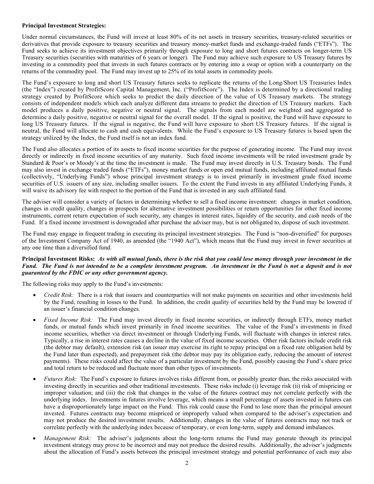#### <span id="page-5-0"></span>**Principal Investment Strategies:**

Under normal circumstances, the Fund will invest at least 80% of its net assets in treasury securities, treasury-related securities or derivatives that provide exposure to treasury securities and treasury money-market funds and exchange-traded funds ("ETFs"). The Fund seeks to achieve its investment objectives primarily through exposure to long and short futures contracts on longer-term US Treasury securities (securities with maturities of 6 years or longer). The Fund may achieve such exposure to US Treasury futures by investing in a commodity pool that invests in such futures contracts or by entering into a swap or option with a counterparty on the returns of the commodity pool. The Fund may invest up to 25% of its total assets in commodity pools.

The Fund's exposure to long and short US Treasury futures seeks to replicate the returns of the Long/Short US Treasuries Index (the "Index") created by ProfitScore Capital Management, Inc. ("ProfitScore"). The Index is determined by a directional trading strategy created by ProfitScore which seeks to predict the daily direction of the value of US Treasury markets. The strategy consists of independent models which each analyze different data streams to predict the direction of US Treasury markets. Each model produces a daily positive, negative or neutral signal. The signals from each model are weighted and aggregated to determine a daily positive, negative or neutral signal for the overall model. If the signal is positive, the Fund will have exposure to long US Treasury futures. If the signal is negative, the Fund will have exposure to short US Treasury futures. If the signal is neutral, the Fund will allocate to cash and cash equivalents. While the Fund's exposure to US Treasury futures is based upon the strategy utilized by the Index, the Fund itself is not an index fund.

The Fund also allocates a portion of its assets to fixed income securities for the purpose of generating income. The Fund may invest directly or indirectly in fixed income securities of any maturity. Such fixed income investments will be rated investment grade by Standard & Poor's or Moody's at the time the investment is made. The Fund may invest directly in U.S. Treasury bonds. The Fund may also invest in exchange traded funds ("ETFs"), money market funds or open end mutual funds, including affiliated mutual funds (collectively, "Underlying Funds") whose principal investment strategy is to invest primarily in investment grade fixed income securities of U.S. issuers of any size, including smaller issuers. To the extent the Fund invests in any affiliated Underlying Funds, it will waive its advisory fee with respect to the portion of the Fund that is invested in any such affiliated fund.

The adviser will consider a variety of factors in determining whether to sell a fixed income investment: changes in market condition, changes in credit quality, changes in prospects for alternative investment possibilities or return opportunities for other fixed income instruments, current return expectation of such security, any changes in interest rates, liquidity of the security, and cash needs of the Fund. If a fixed income investment is downgraded after purchase the adviser may, but is not obligated to, dispose of such investment.

The Fund may engage in frequent trading in executing its principal investment strategies. The Fund is "non-diversified" for purposes of the Investment Company Act of 1940, as amended (the "1940 Act"), which means that the Fund may invest in fewer securities at any one time than a diversified fund.

#### <span id="page-5-1"></span>Principal Investment Risks: As with all mutual funds, there is the risk that you could lose money through your investment in the Fund. The Fund is not intended to be a complete investment program. An investment in the Fund is not a deposit and is not *guaranteed by the FDIC or any other government agency.*

The following risks may apply to the Fund's investments:

- *Credit Risk:* There is a risk that issuers and counterparties will not make payments on securities and other investments held by the Fund, resulting in losses to the Fund. In addition, the credit quality of securities held by the Fund may be lowered if an issuer's financial condition changes.
- *Fixed Income Risk:* The Fund may invest directly in fixed income securities, or indirectly through ETFs, money market funds, or mutual funds which invest primarily in fixed income securities. The value of the Fund's investments in fixed income securities, whether via direct investment or through Underlying Funds, will fluctuate with changes in interest rates. Typically, a rise in interest rates causes a decline in the value of fixed income securities. Other risk factors include credit risk (the debtor may default), extension risk (an issuer may exercise its right to repay principal on a fixed rate obligation held by the Fund later than expected), and prepayment risk (the debtor may pay its obligation early, reducing the amount of interest payments). These risks could affect the value of a particular investment by the Fund, possibly causing the Fund's share price and total return to be reduced and fluctuate more than other types of investments.
- *Futures Risk:* The Fund's exposure to futures involves risks different from, or possibly greater than, the risks associated with investing directly in securities and other traditional investments. These risks include (i) leverage risk (ii) risk of mispricing or improper valuation; and (iii) the risk that changes in the value of the futures contract may not correlate perfectly with the underlying index. Investments in futures involve leverage, which means a small percentage of assets invested in futures can have a disproportionately large impact on the Fund. This risk could cause the Fund to lose more than the principal amount invested. Futures contracts may become mispriced or improperly valued when compared to the adviser's expectation and may not produce the desired investment results. Additionally, changes in the value of futures contracts may not track or correlate perfectly with the underlying index because of temporary, or even long-term, supply and demand imbalances.
- *Management Risk:* The adviser's judgments about the long-term returns the Fund may generate through its principal investment strategy may prove to be incorrect and may not produce the desired results. Additionally, the adviser's judgments about the allocation of Fund's assets between the principal investment strategy and potential performance of each may also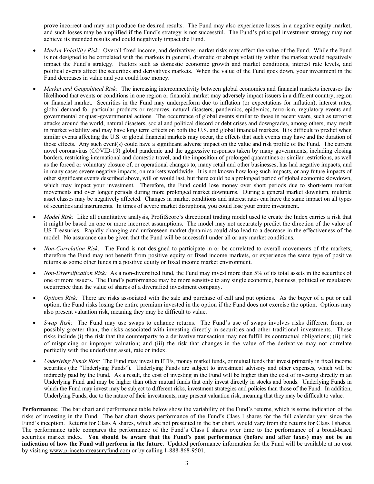prove incorrect and may not produce the desired results. The Fund may also experience losses in a negative equity market, and such losses may be amplified if the Fund's strategy is not successful. The Fund's principal investment strategy may not achieve its intended results and could negatively impact the Fund.

- *Market Volatility Risk:* Overall fixed income, and derivatives market risks may affect the value of the Fund. While the Fund is not designed to be correlated with the markets in general, dramatic or abrupt volatility within the market would negatively impact the Fund's strategy. Factors such as domestic economic growth and market conditions, interest rate levels, and political events affect the securities and derivatives markets. When the value of the Fund goes down, your investment in the Fund decreases in value and you could lose money.
- *Market and Geopolitical Risk:* The increasing interconnectivity between global economies and financial markets increases the likelihood that events or conditions in one region or financial market may adversely impact issuers in a different country, region or financial market. Securities in the Fund may underperform due to inflation (or expectations for inflation), interest rates, global demand for particular products or resources, natural disasters, pandemics, epidemics, terrorism, regulatory events and governmental or quasi-governmental actions. The occurrence of global events similar to those in recent years, such as terrorist attacks around the world, natural disasters, social and political discord or debt crises and downgrades, among others, may result in market volatility and may have long term effects on both the U.S. and global financial markets. It is difficult to predict when similar events affecting the U.S. or global financial markets may occur, the effects that such events may have and the duration of those effects. Any such event(s) could have a significant adverse impact on the value and risk profile of the Fund. The current novel coronavirus (COVID-19) global pandemic and the aggressive responses taken by many governments, including closing borders, restricting international and domestic travel, and the imposition of prolonged quarantines or similar restrictions, as well as the forced or voluntary closure of, or operational changes to, many retail and other businesses, has had negative impacts, and in many cases severe negative impacts, on markets worldwide. It is not known how long such impacts, or any future impacts of other significant events described above, will or would last, but there could be a prolonged period of global economic slowdown, which may impact your investment. Therefore, the Fund could lose money over short periods due to short-term market movements and over longer periods during more prolonged market downturns. During a general market downturn, multiple asset classes may be negatively affected. Changes in market conditions and interest rates can have the same impact on all types of securities and instruments. In times of severe market disruptions, you could lose your entire investment.
- *Model Risk:* Like all quantitative analysis, ProfitScore's directional trading model used to create the Index carries a risk that it might be based on one or more incorrect assumptions. The model may not accurately predict the direction of the value of US Treasuries. Rapidly changing and unforeseen market dynamics could also lead to a decrease in the effectiveness of the model. No assurance can be given that the Fund will be successful under all or any market conditions.
- *Non-Correlation Risk:* The Fund is not designed to participate in or be correlated to overall movements of the markets; therefore the Fund may not benefit from positive equity or fixed income markets, or experience the same type of positive returns as some other funds in a positive equity or fixed income market environment.
- *Non-Diversification Risk:* As a non-diversified fund, the Fund may invest more than 5% of its total assets in the securities of one or more issuers. The Fund's performance may be more sensitive to any single economic, business, political or regulatory occurrence than the value of shares of a diversified investment company.
- *Options Risk:* There are risks associated with the sale and purchase of call and put options. As the buyer of a put or call option, the Fund risks losing the entire premium invested in the option if the Fund does not exercise the option. Options may also present valuation risk, meaning they may be difficult to value.
- *Swap Risk:* The Fund may use swaps to enhance returns. The Fund's use of swaps involves risks different from, or possibly greater than, the risks associated with investing directly in securities and other traditional investments. These risks include (i) the risk that the counterparty to a derivative transaction may not fulfill its contractual obligations; (ii) risk of mispricing or improper valuation; and (iii) the risk that changes in the value of the derivative may not correlate perfectly with the underlying asset, rate or index.
- *Underlying Funds Risk:* The Fund may invest in ETFs, money market funds, or mutual funds that invest primarily in fixed income securities (the "Underlying Funds"). Underlying Funds are subject to investment advisory and other expenses, which will be indirectly paid by the Fund. As a result, the cost of investing in the Fund will be higher than the cost of investing directly in an Underlying Fund and may be higher than other mutual funds that only invest directly in stocks and bonds. Underlying Funds in which the Fund may invest may be subject to different risks, investment strategies and policies than those of the Fund. In addition, Underlying Funds, due to the nature of their investments, may present valuation risk, meaning that they may be difficult to value.

<span id="page-6-0"></span>**Performance:** The bar chart and performance table below show the variability of the Fund's returns, which is some indication of the risks of investing in the Fund. The bar chart shows performance of the Fund's Class I shares for the full calendar year since the Fund's inception. Returns for Class A shares, which are not presented in the bar chart, would vary from the returns for Class I shares. The performance table compares the performance of the Fund's Class I shares over time to the performance of a broad-based securities market index. **You should be aware that the Fund's past performance (before and after taxes) may not be an indication of how the Fund will perform in the future.** Updated performance information for the Fund will be available at no cost by visiting [www.princetontreasuryfund.com](http://www.princetontreasuryfund.com/) or by calling 1-888-868-9501.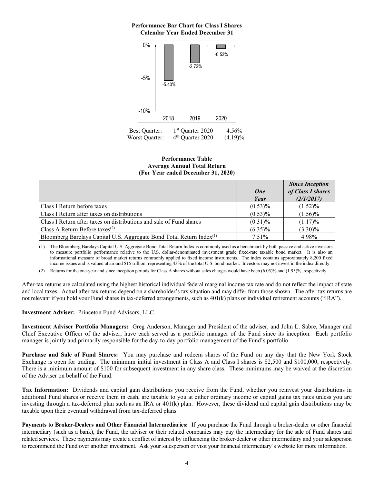#### **Performance Bar Chart for Class I Shares Calendar Year Ended December 31**



**Performance Table Average Annual Total Return (For Year ended December 31, 2020)**

|                                                                                  | <b>One</b><br>Year | <b>Since Inception</b><br>of Class I shares<br>(2/1/2017) |
|----------------------------------------------------------------------------------|--------------------|-----------------------------------------------------------|
| Class I Return before taxes                                                      | $(0.53)\%$         | $(1.52)\%$                                                |
| Class I Return after taxes on distributions                                      | $(0.53)\%$         | $(1.56)\%$                                                |
| Class I Return after taxes on distributions and sale of Fund shares              | $(0.31)\%$         | $(1.17)\%$                                                |
| Class A Return Before taxes <sup>(2)</sup>                                       | $(6.35)\%$         | $(3.30)\%$                                                |
| Bloomberg Barclays Capital U.S. Aggregate Bond Total Return Index <sup>(1)</sup> | 7.51%              | 4.98%                                                     |

(1) The Bloomberg Barclays Capital U.S. Aggregate Bond Total Return Index is commonly used as a benchmark by both passive and active investors to measure portfolio performance relative to the U.S. dollar-denominated investment grade fixed-rate taxable bond market. It is also an informational measure of broad market returns commonly applied to fixed income instruments. The index contains approximately 8,200 fixed income issues and is valued at around \$15 trillion, representing 43% of the total U.S. bond market. Investors may not invest in the index directly.

(2) Returns for the one-year and since inception periods for Class A shares without sales charges would have been (6.05)% and (1.95)%, respectively.

After-tax returns are calculated using the highest historical individual federal marginal income tax rate and do not reflect the impact of state and local taxes. Actual after-tax returns depend on a shareholder's tax situation and may differ from those shown. The after-tax returns are not relevant if you hold your Fund shares in tax-deferred arrangements, such as 401(k) plans or individual retirement accounts ("IRA").

<span id="page-7-0"></span>**Investment Adviser:** Princeton Fund Advisors, LLC

<span id="page-7-1"></span>**Investment Adviser Portfolio Managers:** Greg Anderson, Manager and President of the adviser, and John L. Sabre, Manager and Chief Executive Officer of the adviser, have each served as a portfolio manager of the Fund since its inception. Each portfolio manager is jointly and primarily responsible for the day-to-day portfolio management of the Fund's portfolio.

<span id="page-7-2"></span>**Purchase and Sale of Fund Shares:** You may purchase and redeem shares of the Fund on any day that the New York Stock Exchange is open for trading. The minimum initial investment in Class A and Class I shares is \$2,500 and \$100,000, respectively. There is a minimum amount of \$100 for subsequent investment in any share class. These minimums may be waived at the discretion of the Adviser on behalf of the Fund.

<span id="page-7-3"></span>**Tax Information:** Dividends and capital gain distributions you receive from the Fund, whether you reinvest your distributions in additional Fund shares or receive them in cash, are taxable to you at either ordinary income or capital gains tax rates unless you are investing through a tax-deferred plan such as an IRA or 401(k) plan. However, these dividend and capital gain distributions may be taxable upon their eventual withdrawal from tax-deferred plans.

<span id="page-7-4"></span>**Payments to Broker-Dealers and Other Financial Intermediaries:** If you purchase the Fund through a broker-dealer or other financial intermediary (such as a bank), the Fund, the adviser or their related companies may pay the intermediary for the sale of Fund shares and related services. These payments may create a conflict of interest by influencing the broker-dealer or other intermediary and your salesperson to recommend the Fund over another investment. Ask your salesperson or visit your financial intermediary's website for more information.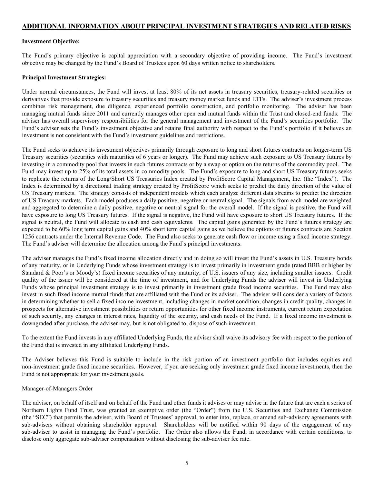### <span id="page-8-0"></span>**ADDITIONAL INFORMATION ABOUT PRINCIPAL INVESTMENT STRATEGIES AND RELATED RISKS**

#### <span id="page-8-1"></span>**Investment Objective:**

The Fund's primary objective is capital appreciation with a secondary objective of providing income. The Fund's investment objective may be changed by the Fund's Board of Trustees upon 60 days written notice to shareholders.

#### <span id="page-8-2"></span>**Principal Investment Strategies:**

Under normal circumstances, the Fund will invest at least 80% of its net assets in treasury securities, treasury-related securities or derivatives that provide exposure to treasury securities and treasury money market funds and ETFs. The adviser's investment process combines risk management, due diligence, experienced portfolio construction, and portfolio monitoring. The adviser has been managing mutual funds since 2011 and currently manages other open end mutual funds within the Trust and closed-end funds. The adviser has overall supervisory responsibilities for the general management and investment of the Fund's securities portfolio. The Fund's adviser sets the Fund's investment objective and retains final authority with respect to the Fund's portfolio if it believes an investment is not consistent with the Fund's investment guidelines and restrictions.

The Fund seeks to achieve its investment objectives primarily through exposure to long and short futures contracts on longer-term US Treasury securities (securities with maturities of 6 years or longer). The Fund may achieve such exposure to US Treasury futures by investing in a commodity pool that invests in such futures contracts or by a swap or option on the returns of the commodity pool. The Fund may invest up to 25% of its total assets in commodity pools. The Fund's exposure to long and short US Treasury futures seeks to replicate the returns of the Long/Short US Treasuries Index created by ProfitScore Capital Management, Inc. (the "Index"). The Index is determined by a directional trading strategy created by ProfitScore which seeks to predict the daily direction of the value of US Treasury markets. The strategy consists of independent models which each analyze different data streams to predict the direction of US Treasury markets. Each model produces a daily positive, negative or neutral signal. The signals from each model are weighted and aggregated to determine a daily positive, negative or neutral signal for the overall model. If the signal is positive, the Fund will have exposure to long US Treasury futures. If the signal is negative, the Fund will have exposure to short US Treasury futures. If the signal is neutral, the Fund will allocate to cash and cash equivalents. The capital gains generated by the Fund's futures strategy are expected to be 60% long term capital gains and 40% short term capital gains as we believe the options or futures contracts are Section 1256 contracts under the Internal Revenue Code. The Fund also seeks to generate cash flow or income using a fixed income strategy. The Fund's adviser will determine the allocation among the Fund's principal investments.

The adviser manages the Fund's fixed income allocation directly and in doing so will invest the Fund's assets in U.S. Treasury bonds of any maturity, or in Underlying Funds whose investment strategy is to invest primarily in investment grade (rated BBB or higher by Standard & Poor's or Moody's) fixed income securities of any maturity, of U.S. issuers of any size, including smaller issuers. Credit quality of the issuer will be considered at the time of investment, and for Underlying Funds the adviser will invest in Underlying Funds whose principal investment strategy is to invest primarily in investment grade fixed income securities. The Fund may also invest in such fixed income mutual funds that are affiliated with the Fund or its adviser. The adviser will consider a variety of factors in determining whether to sell a fixed income investment, including changes in market condition, changes in credit quality, changes in prospects for alternative investment possibilities or return opportunities for other fixed income instruments, current return expectation of such security, any changes in interest rates, liquidity of the security, and cash needs of the Fund. If a fixed income investment is downgraded after purchase, the adviser may, but is not obligated to, dispose of such investment.

To the extent the Fund invests in any affiliated Underlying Funds, the adviser shall waive its advisory fee with respect to the portion of the Fund that is invested in any affiliated Underlying Funds.

The Adviser believes this Fund is suitable to include in the risk portion of an investment portfolio that includes equities and non-investment grade fixed income securities. However, if you are seeking only investment grade fixed income investments, then the Fund is not appropriate for your investment goals.

#### Manager-of-Managers Order

The adviser, on behalf of itself and on behalf of the Fund and other funds it advises or may advise in the future that are each a series of Northern Lights Fund Trust, was granted an exemptive order (the "Order") from the U.S. Securities and Exchange Commission (the "SEC") that permits the adviser, with Board of Trustees' approval, to enter into, replace, or amend sub-advisory agreements with sub-advisers without obtaining shareholder approval. Shareholders will be notified within 90 days of the engagement of any sub-adviser to assist in managing the Fund's portfolio. The Order also allows the Fund, in accordance with certain conditions, to disclose only aggregate sub-adviser compensation without disclosing the sub-adviser fee rate.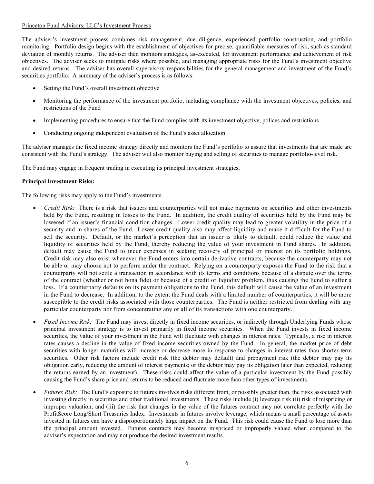#### Princeton Fund Advisors, LLC's Investment Process

The adviser's investment process combines risk management, due diligence, experienced portfolio construction, and portfolio monitoring. Portfolio design begins with the establishment of objectives for precise, quantifiable measures of risk, such as standard deviation of monthly returns. The adviser then monitors strategies, as-executed, for investment performance and achievement of risk objectives. The adviser seeks to mitigate risks where possible, and managing appropriate risks for the Fund's investment objective and desired returns. The adviser has overall supervisory responsibilities for the general management and investment of the Fund's securities portfolio. A summary of the adviser's process is as follows:

- Setting the Fund's overall investment objective
- Monitoring the performance of the investment portfolio, including compliance with the investment objectives, policies, and restrictions of the Fund
- Implementing procedures to ensure that the Fund complies with its investment objective, polices and restrictions
- Conducting ongoing independent evaluation of the Fund's asset allocation

The adviser manages the fixed income strategy directly and monitors the Fund's portfolio to assure that investments that are made are consistent with the Fund's strategy. The adviser will also monitor buying and selling of securities to manage portfolio-level risk.

The Fund may engage in frequent trading in executing its principal investment strategies.

#### <span id="page-9-0"></span>**Principal Investment Risks:**

The following risks may apply to the Fund's investments.

- *Credit Risk:* There is a risk that issuers and counterparties will not make payments on securities and other investments held by the Fund, resulting in losses to the Fund. In addition, the credit quality of securities held by the Fund may be lowered if an issuer's financial condition changes. Lower credit quality may lead to greater volatility in the price of a security and in shares of the Fund. Lower credit quality also may affect liquidity and make it difficult for the Fund to sell the security. Default, or the market's perception that an issuer is likely to default, could reduce the value and liquidity of securities held by the Fund, thereby reducing the value of your investment in Fund shares. In addition, default may cause the Fund to incur expenses in seeking recovery of principal or interest on its portfolio holdings. Credit risk may also exist whenever the Fund enters into certain derivative contracts, because the counterparty may not be able or may choose not to perform under the contract. Relying on a counterparty exposes the Fund to the risk that a counterparty will not settle a transaction in accordance with its terms and conditions because of a dispute over the terms of the contract (whether or not bona fide) or because of a credit or liquidity problem, thus causing the Fund to suffer a loss. If a counterparty defaults on its payment obligations to the Fund, this default will cause the value of an investment in the Fund to decrease. In addition, to the extent the Fund deals with a limited number of counterparties, it will be more susceptible to the credit risks associated with those counterparties. The Fund is neither restricted from dealing with any particular counterparty nor from concentrating any or all of its transactions with one counterparty.
- *Fixed Income Risk:* The Fund may invest directly in fixed income securities, or indirectly through Underlying Funds whose principal investment strategy is to invest primarily in fixed income securities. When the Fund invests in fixed income securities, the value of your investment in the Fund will fluctuate with changes in interest rates. Typically, a rise in interest rates causes a decline in the value of fixed income securities owned by the Fund. In general, the market price of debt securities with longer maturities will increase or decrease more in response to changes in interest rates than shorter-term securities. Other risk factors include credit risk (the debtor may default) and prepayment risk (the debtor may pay its obligation early, reducing the amount of interest payments; or the debtor may pay its obligation later than expected, reducing the returns earned by an investment). These risks could affect the value of a particular investment by the Fund possibly causing the Fund's share price and returns to be reduced and fluctuate more than other types of investments.
- *Futures Risk:* The Fund's exposure to futures involves risks different from, or possibly greater than, the risks associated with investing directly in securities and other traditional investments. These risks include (i) leverage risk (ii) risk of mispricing or improper valuation; and (iii) the risk that changes in the value of the futures contract may not correlate perfectly with the ProfitScore Long/Short Treasuries Index. Investments in futures involve leverage, which means a small percentage of assets invested in futures can have a disproportionately large impact on the Fund. This risk could cause the Fund to lose more than the principal amount invested. Futures contracts may become mispriced or improperly valued when compared to the adviser's expectation and may not produce the desired investment results.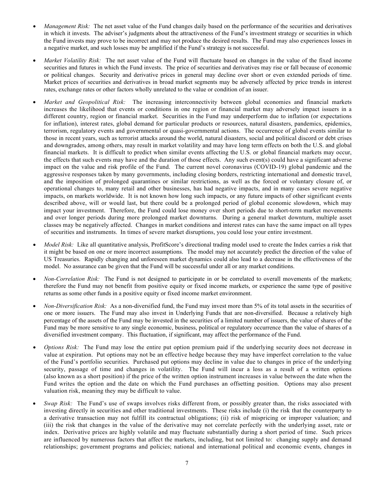- *Management Risk:* The net asset value of the Fund changes daily based on the performance of the securities and derivatives in which it invests. The adviser's judgments about the attractiveness of the Fund's investment strategy or securities in which the Fund invests may prove to be incorrect and may not produce the desired results. The Fund may also experiences losses in a negative market, and such losses may be amplified if the Fund's strategy is not successful.
- *Market Volatility Risk:* The net asset value of the Fund will fluctuate based on changes in the value of the fixed income securities and futures in which the Fund invests. The price of securities and derivatives may rise or fall because of economic or political changes. Security and derivative prices in general may decline over short or even extended periods of time. Market prices of securities and derivatives in broad market segments may be adversely affected by price trends in interest rates, exchange rates or other factors wholly unrelated to the value or condition of an issuer.
- *Market and Geopolitical Risk:* The increasing interconnectivity between global economies and financial markets increases the likelihood that events or conditions in one region or financial market may adversely impact issuers in a different country, region or financial market. Securities in the Fund may underperform due to inflation (or expectations for inflation), interest rates, global demand for particular products or resources, natural disasters, pandemics, epidemics, terrorism, regulatory events and governmental or quasi-governmental actions. The occurrence of global events similar to those in recent years, such as terrorist attacks around the world, natural disasters, social and political discord or debt crises and downgrades, among others, may result in market volatility and may have long term effects on both the U.S. and global financial markets. It is difficult to predict when similar events affecting the U.S. or global financial markets may occur, the effects that such events may have and the duration of those effects. Any such event(s) could have a significant adverse impact on the value and risk profile of the Fund. The current novel coronavirus (COVID-19) global pandemic and the aggressive responses taken by many governments, including closing borders, restricting international and domestic travel, and the imposition of prolonged quarantines or similar restrictions, as well as the forced or voluntary closure of, or operational changes to, many retail and other businesses, has had negative impacts, and in many cases severe negative impacts, on markets worldwide. It is not known how long such impacts, or any future impacts of other significant events described above, will or would last, but there could be a prolonged period of global economic slowdown, which may impact your investment. Therefore, the Fund could lose money over short periods due to short-term market movements and over longer periods during more prolonged market downturns. During a general market downturn, multiple asset classes may be negatively affected. Changes in market conditions and interest rates can have the same impact on all types of securities and instruments. In times of severe market disruptions, you could lose your entire investment.
- *Model Risk:* Like all quantitative analysis, ProfitScore's directional trading model used to create the Index carries a risk that it might be based on one or more incorrect assumptions. The model may not accurately predict the direction of the value of US Treasuries. Rapidly changing and unforeseen market dynamics could also lead to a decrease in the effectiveness of the model. No assurance can be given that the Fund will be successful under all or any market conditions.
- *Non-Correlation Risk:* The Fund is not designed to participate in or be correlated to overall movements of the markets; therefore the Fund may not benefit from positive equity or fixed income markets, or experience the same type of positive returns as some other funds in a positive equity or fixed income market environment.
- *Non-Diversification Risk:* As a non-diversified fund, the Fund may invest more than 5% of its total assets in the securities of one or more issuers. The Fund may also invest in Underlying Funds that are non-diversified. Because a relatively high percentage of the assets of the Fund may be invested in the securities of a limited number of issuers, the value of shares of the Fund may be more sensitive to any single economic, business, political or regulatory occurrence than the value of shares of a diversified investment company. This fluctuation, if significant, may affect the performance of the Fund.
- *Options Risk:* The Fund may lose the entire put option premium paid if the underlying security does not decrease in value at expiration. Put options may not be an effective hedge because they may have imperfect correlation to the value of the Fund's portfolio securities. Purchased put options may decline in value due to changes in price of the underlying security, passage of time and changes in volatility. The Fund will incur a loss as a result of a written options (also known as a short position) if the price of the written option instrument increases in value between the date when the Fund writes the option and the date on which the Fund purchases an offsetting position. Options may also present valuation risk, meaning they may be difficult to value.
- *Swap Risk:* The Fund's use of swaps involves risks different from, or possibly greater than, the risks associated with investing directly in securities and other traditional investments. These risks include (i) the risk that the counterparty to a derivative transaction may not fulfill its contractual obligations; (ii) risk of mispricing or improper valuation; and (iii) the risk that changes in the value of the derivative may not correlate perfectly with the underlying asset, rate or index. Derivative prices are highly volatile and may fluctuate substantially during a short period of time. Such prices are influenced by numerous factors that affect the markets, including, but not limited to: changing supply and demand relationships; government programs and policies; national and international political and economic events, changes in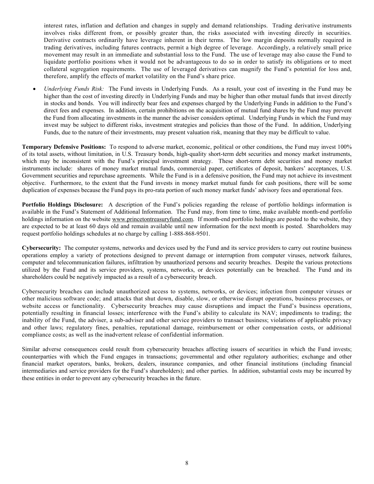interest rates, inflation and deflation and changes in supply and demand relationships. Trading derivative instruments involves risks different from, or possibly greater than, the risks associated with investing directly in securities. Derivative contracts ordinarily have leverage inherent in their terms. The low margin deposits normally required in trading derivatives, including futures contracts, permit a high degree of leverage. Accordingly, a relatively small price movement may result in an immediate and substantial loss to the Fund. The use of leverage may also cause the Fund to liquidate portfolio positions when it would not be advantageous to do so in order to satisfy its obligations or to meet collateral segregation requirements. The use of leveraged derivatives can magnify the Fund's potential for loss and, therefore, amplify the effects of market volatility on the Fund's share price.

• *Underlying Funds Risk:* The Fund invests in Underlying Funds. As a result, your cost of investing in the Fund may be higher than the cost of investing directly in Underlying Funds and may be higher than other mutual funds that invest directly in stocks and bonds. You will indirectly bear fees and expenses charged by the Underlying Funds in addition to the Fund's direct fees and expenses. In addition, certain prohibitions on the acquisition of mutual fund shares by the Fund may prevent the Fund from allocating investments in the manner the adviser considers optimal. Underlying Funds in which the Fund may invest may be subject to different risks, investment strategies and policies than those of the Fund. In addition, Underlying Funds, due to the nature of their investments, may present valuation risk, meaning that they may be difficult to value.

<span id="page-11-0"></span>**Temporary Defensive Positions:** To respond to adverse market, economic, political or other conditions, the Fund may invest 100% of its total assets, without limitation, in U.S. Treasury bonds, high-quality short-term debt securities and money market instruments, which may be inconsistent with the Fund's principal investment strategy. These short-term debt securities and money market instruments include: shares of money market mutual funds, commercial paper, certificates of deposit, bankers' acceptances, U.S. Government securities and repurchase agreements. While the Fund is in a defensive position, the Fund may not achieve its investment objective. Furthermore, to the extent that the Fund invests in money market mutual funds for cash positions, there will be some duplication of expenses because the Fund pays its pro-rata portion of such money market funds' advisory fees and operational fees.

<span id="page-11-1"></span>**Portfolio Holdings Disclosure:** A description of the Fund's policies regarding the release of portfolio holdings information is available in the Fund's Statement of Additional Information. The Fund may, from time to time, make available month-end portfolio holdings information on the website [www.princetontreasuryfund.com.](http://www.princetontreasuryfund.com/) If month-end portfolio holdings are posted to the website, they are expected to be at least 60 days old and remain available until new information for the next month is posted. Shareholders may request portfolio holdings schedules at no charge by calling 1-888-868-9501.

<span id="page-11-2"></span>**Cybersecurity:** The computer systems, networks and devices used by the Fund and its service providers to carry out routine business operations employ a variety of protections designed to prevent damage or interruption from computer viruses, network failures, computer and telecommunication failures, infiltration by unauthorized persons and security breaches. Despite the various protections utilized by the Fund and its service providers, systems, networks, or devices potentially can be breached. The Fund and its shareholders could be negatively impacted as a result of a cybersecurity breach.

Cybersecurity breaches can include unauthorized access to systems, networks, or devices; infection from computer viruses or other malicious software code; and attacks that shut down, disable, slow, or otherwise disrupt operations, business processes, or website access or functionality. Cybersecurity breaches may cause disruptions and impact the Fund's business operations, potentially resulting in financial losses; interference with the Fund's ability to calculate its NAV; impediments to trading; the inability of the Fund, the adviser, a sub-adviser and other service providers to transact business; violations of applicable privacy and other laws; regulatory fines, penalties, reputational damage, reimbursement or other compensation costs, or additional compliance costs; as well as the inadvertent release of confidential information.

Similar adverse consequences could result from cybersecurity breaches affecting issuers of securities in which the Fund invests; counterparties with which the Fund engages in transactions; governmental and other regulatory authorities; exchange and other financial market operators, banks, brokers, dealers, insurance companies, and other financial institutions (including financial intermediaries and service providers for the Fund's shareholders); and other parties. In addition, substantial costs may be incurred by these entities in order to prevent any cybersecurity breaches in the future.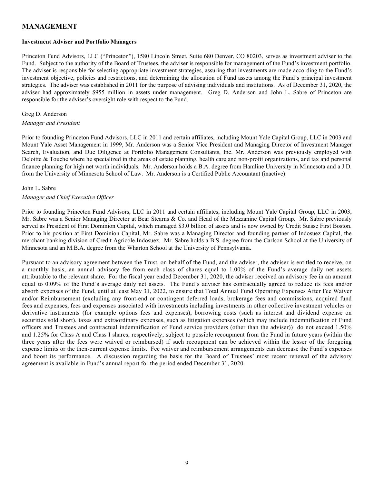### <span id="page-12-0"></span>**MANAGEMENT**

#### <span id="page-12-1"></span>**Investment Adviser and Portfolio Managers**

Princeton Fund Advisors, LLC ("Princeton"), 1580 Lincoln Street, Suite 680 Denver, CO 80203, serves as investment adviser to the Fund. Subject to the authority of the Board of Trustees, the adviser is responsible for management of the Fund's investment portfolio. The adviser is responsible for selecting appropriate investment strategies, assuring that investments are made according to the Fund's investment objective, policies and restrictions, and determining the allocation of Fund assets among the Fund's principal investment strategies. The adviser was established in 2011 for the purpose of advising individuals and institutions. As of December 31, 2020, the adviser had approximately \$955 million in assets under management. Greg D. Anderson and John L. Sabre of Princeton are responsible for the adviser's oversight role with respect to the Fund.

#### Greg D. Anderson

#### *Manager and President*

Prior to founding Princeton Fund Advisors, LLC in 2011 and certain affiliates, including Mount Yale Capital Group, LLC in 2003 and Mount Yale Asset Management in 1999, Mr. Anderson was a Senior Vice President and Managing Director of Investment Manager Search, Evaluation, and Due Diligence at Portfolio Management Consultants, Inc. Mr. Anderson was previously employed with Deloitte & Touche where he specialized in the areas of estate planning, health care and non-profit organizations, and tax and personal finance planning for high net worth individuals. Mr. Anderson holds a B.A. degree from Hamline University in Minnesota and a J.D. from the University of Minnesota School of Law. Mr. Anderson is a Certified Public Accountant (inactive).

#### John L. Sabre

#### *Manager and Chief Executive Officer*

Prior to founding Princeton Fund Advisors, LLC in 2011 and certain affiliates, including Mount Yale Capital Group, LLC in 2003, Mr. Sabre was a Senior Managing Director at Bear Stearns & Co. and Head of the Mezzanine Capital Group. Mr. Sabre previously served as President of First Dominion Capital, which managed \$3.0 billion of assets and is now owned by Credit Suisse First Boston. Prior to his position at First Dominion Capital, Mr. Sabre was a Managing Director and founding partner of Indosuez Capital, the merchant banking division of Credit Agricole Indosuez. Mr. Sabre holds a B.S. degree from the Carlson School at the University of Minnesota and an M.B.A. degree from the Wharton School at the University of Pennsylvania.

Pursuant to an advisory agreement between the Trust, on behalf of the Fund, and the adviser, the adviser is entitled to receive, on a monthly basis, an annual advisory fee from each class of shares equal to 1.00% of the Fund's average daily net assets attributable to the relevant share. For the fiscal year ended December 31, 2020, the adviser received an advisory fee in an amount equal to 0.09% of the Fund's average daily net assets. The Fund's adviser has contractually agreed to reduce its fees and/or absorb expenses of the Fund, until at least May 31, 2022, to ensure that Total Annual Fund Operating Expenses After Fee Waiver and/or Reimbursement (excluding any front-end or contingent deferred loads, brokerage fees and commissions, acquired fund fees and expenses, fees and expenses associated with investments including investments in other collective investment vehicles or derivative instruments (for example options fees and expenses), borrowing costs (such as interest and dividend expense on securities sold short), taxes and extraordinary expenses, such as litigation expenses (which may include indemnification of Fund officers and Trustees and contractual indemnification of Fund service providers (other than the adviser)) do not exceed 1.50% and 1.25% for Class A and Class I shares, respectively; subject to possible recoupment from the Fund in future years (within the three years after the fees were waived or reimbursed) if such recoupment can be achieved within the lesser of the foregoing expense limits or the then-current expense limits. Fee waiver and reimbursement arrangements can decrease the Fund's expenses and boost its performance. A discussion regarding the basis for the Board of Trustees' most recent renewal of the advisory agreement is available in Fund's annual report for the period ended December 31, 2020.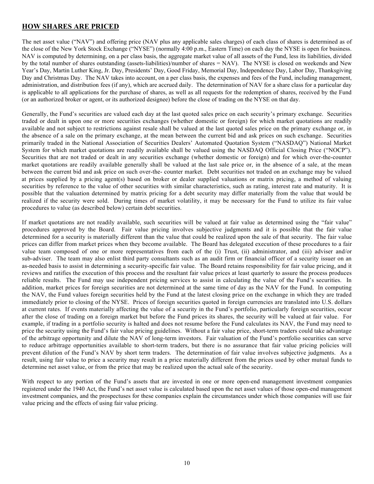### <span id="page-13-0"></span>**HOW SHARES ARE PRICED**

The net asset value ("NAV") and offering price (NAV plus any applicable sales charges) of each class of shares is determined as of the close of the New York Stock Exchange ("NYSE") (normally 4:00 p.m., Eastern Time) on each day the NYSE is open for business. NAV is computed by determining, on a per class basis, the aggregate market value of all assets of the Fund, less its liabilities, divided by the total number of shares outstanding (assets-liabilities)/number of shares = NAV). The NYSE is closed on weekends and New Year's Day, Martin Luther King, Jr. Day, Presidents' Day, Good Friday, Memorial Day, Independence Day, Labor Day, Thanksgiving Day and Christmas Day. The NAV takes into account, on a per class basis, the expenses and fees of the Fund, including management, administration, and distribution fees (if any), which are accrued daily. The determination of NAV for a share class for a particular day is applicable to all applications for the purchase of shares, as well as all requests for the redemption of shares, received by the Fund (or an authorized broker or agent, or its authorized designee) before the close of trading on the NYSE on that day.

Generally, the Fund's securities are valued each day at the last quoted sales price on each security's primary exchange. Securities traded or dealt in upon one or more securities exchanges (whether domestic or foreign) for which market quotations are readily available and not subject to restrictions against resale shall be valued at the last quoted sales price on the primary exchange or, in the absence of a sale on the primary exchange, at the mean between the current bid and ask prices on such exchange. Securities primarily traded in the National Association of Securities Dealers' Automated Quotation System ("NASDAQ") National Market System for which market quotations are readily available shall be valued using the NASDAQ Official Closing Price ("NOCP"). Securities that are not traded or dealt in any securities exchange (whether domestic or foreign) and for which over-the-counter market quotations are readily available generally shall be valued at the last sale price or, in the absence of a sale, at the mean between the current bid and ask price on such over-the- counter market. Debt securities not traded on an exchange may be valued at prices supplied by a pricing agent(s) based on broker or dealer supplied valuations or matrix pricing, a method of valuing securities by reference to the value of other securities with similar characteristics, such as rating, interest rate and maturity. It is possible that the valuation determined by matrix pricing for a debt security may differ materially from the value that would be realized if the security were sold. During times of market volatility, it may be necessary for the Fund to utilize its fair value procedures to value (as described below) certain debt securities.

If market quotations are not readily available, such securities will be valued at fair value as determined using the "fair value" procedures approved by the Board. Fair value pricing involves subjective judgments and it is possible that the fair value determined for a security is materially different than the value that could be realized upon the sale of that security. The fair value prices can differ from market prices when they become available. The Board has delegated execution of these procedures to a fair value team composed of one or more representatives from each of the (i) Trust, (ii) administrator, and (iii) adviser and/or sub-adviser. The team may also enlist third party consultants such as an audit firm or financial officer of a security issuer on an as-needed basis to assist in determining a security-specific fair value. The Board retains responsibility for fair value pricing, and it reviews and ratifies the execution of this process and the resultant fair value prices at least quarterly to assure the process produces reliable results. The Fund may use independent pricing services to assist in calculating the value of the Fund's securities. In addition, market prices for foreign securities are not determined at the same time of day as the NAV for the Fund. In computing the NAV, the Fund values foreign securities held by the Fund at the latest closing price on the exchange in which they are traded immediately prior to closing of the NYSE. Prices of foreign securities quoted in foreign currencies are translated into U.S. dollars at current rates. If events materially affecting the value of a security in the Fund's portfolio, particularly foreign securities, occur after the close of trading on a foreign market but before the Fund prices its shares, the security will be valued at fair value. For example, if trading in a portfolio security is halted and does not resume before the Fund calculates its NAV, the Fund may need to price the security using the Fund's fair value pricing guidelines. Without a fair value price, short-term traders could take advantage of the arbitrage opportunity and dilute the NAV of long-term investors. Fair valuation of the Fund's portfolio securities can serve to reduce arbitrage opportunities available to short-term traders, but there is no assurance that fair value pricing policies will prevent dilution of the Fund's NAV by short term traders. The determination of fair value involves subjective judgments. As a result, using fair value to price a security may result in a price materially different from the prices used by other mutual funds to determine net asset value, or from the price that may be realized upon the actual sale of the security.

With respect to any portion of the Fund's assets that are invested in one or more open-end management investment companies registered under the 1940 Act, the Fund's net asset value is calculated based upon the net asset values of those open-end management investment companies, and the prospectuses for these companies explain the circumstances under which those companies will use fair value pricing and the effects of using fair value pricing.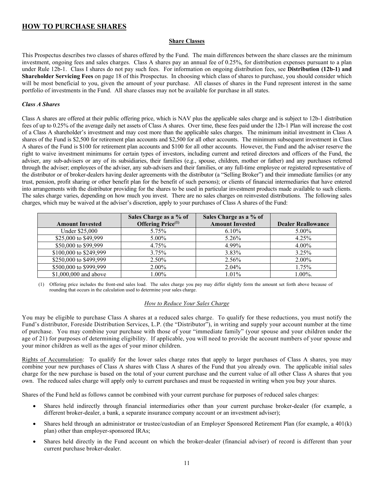### <span id="page-14-0"></span>**HOW TO PURCHASE SHARES**

#### **Share Classes**

This Prospectus describes two classes of shares offered by the Fund. The main differences between the share classes are the minimum investment, ongoing fees and sales charges. Class A shares pay an annual fee of 0.25%, for distribution expenses pursuant to a plan under Rule 12b-1. Class I shares do not pay such fees. For information on ongoing distribution fees, see **Distribution (12b-1) and Shareholder Servicing Fees** on page 18 of this Prospectus. In choosing which class of shares to purchase, you should consider which will be most beneficial to you, given the amount of your purchase. All classes of shares in the Fund represent interest in the same portfolio of investments in the Fund. All share classes may not be available for purchase in all states.

#### *Class A Shares*

Class A shares are offered at their public offering price, which is NAV plus the applicable sales charge and is subject to 12b-1 distribution fees of up to 0.25% of the average daily net assets of Class A shares. Over time, these fees paid under the 12b-1 Plan will increase the cost of a Class A shareholder's investment and may cost more than the applicable sales charges. The minimum initial investment in Class A shares of the Fund is \$2,500 for retirement plan accounts and \$2,500 for all other accounts. The minimum subsequent investment in Class A shares of the Fund is \$100 for retirement plan accounts and \$100 for all other accounts. However, the Fund and the adviser reserve the right to waive investment minimums for certain types of investors, including current and retired directors and officers of the Fund, the adviser, any sub-advisers or any of its subsidiaries, their families (e.g., spouse, children, mother or father) and any purchases referred through the adviser; employees of the adviser, any sub-advisers and their families, or any full-time employee or registered representative of the distributor or of broker-dealers having dealer agreements with the distributor (a "Selling Broker") and their immediate families (or any trust, pension, profit sharing or other benefit plan for the benefit of such persons); or clients of financial intermediaries that have entered into arrangements with the distributor providing for the shares to be used in particular investment products made available to such clients. The sales charge varies, depending on how much you invest. There are no sales charges on reinvested distributions. The following sales charges, which may be waived at the adviser's discretion, apply to your purchases of Class A shares of the Fund:

|                        | Sales Charge as a % of        | Sales Charge as a % of |                           |
|------------------------|-------------------------------|------------------------|---------------------------|
| <b>Amount Invested</b> | Offering Price <sup>(1)</sup> | <b>Amount Invested</b> | <b>Dealer Reallowance</b> |
| Under \$25,000         | 5.75%                         | $6.10\%$               | $5.00\%$                  |
| \$25,000 to \$49,999   | $5.00\%$                      | 5.26%                  | 4.25%                     |
| \$50,000 to \$99,999   | 4.75%                         | 4.99%                  | $4.00\%$                  |
| \$100,000 to \$249,999 | 3.75%                         | 3.83%                  | 3.25%                     |
| \$250,000 to \$499,999 | 2.50%                         | 2.56%                  | 2.00%                     |
| \$500,000 to \$999,999 | 2.00%                         | $2.04\%$               | 1.75%                     |
| \$1,000,000 and above  | $1.00\%$                      | $1.01\%$               | $1.00\%$ .                |

(1) Offering price includes the front-end sales load. The sales charge you pay may differ slightly form the amount set forth above because of rounding that occurs in the calculation used to determine your sales charge.

#### *How to Reduce Your Sales Charge*

You may be eligible to purchase Class A shares at a reduced sales charge. To qualify for these reductions, you must notify the Fund's distributor, Foreside Distribution Services, L.P. (the "Distributor"), in writing and supply your account number at the time of purchase. You may combine your purchase with those of your "immediate family" (your spouse and your children under the age of 21) for purposes of determining eligibility. If applicable, you will need to provide the account numbers of your spouse and your minor children as well as the ages of your minor children.

Rights of Accumulation: To qualify for the lower sales charge rates that apply to larger purchases of Class A shares, you may combine your new purchases of Class A shares with Class A shares of the Fund that you already own. The applicable initial sales charge for the new purchase is based on the total of your current purchase and the current value of all other Class A shares that you own. The reduced sales charge will apply only to current purchases and must be requested in writing when you buy your shares.

Shares of the Fund held as follows cannot be combined with your current purchase for purposes of reduced sales charges:

- Shares held indirectly through financial intermediaries other than your current purchase broker-dealer (for example, a different broker-dealer, a bank, a separate insurance company account or an investment adviser);
- Shares held through an administrator or trustee/custodian of an Employer Sponsored Retirement Plan (for example, a 401(k) plan) other than employer-sponsored IRAs;
- Shares held directly in the Fund account on which the broker-dealer (financial adviser) of record is different than your current purchase broker-dealer.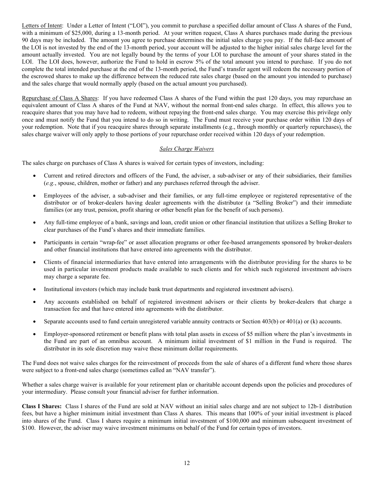Letters of Intent: Under a Letter of Intent ("LOI"), you commit to purchase a specified dollar amount of Class A shares of the Fund, with a minimum of \$25,000, during a 13-month period. At your written request, Class A shares purchases made during the previous 90 days may be included. The amount you agree to purchase determines the initial sales charge you pay. If the full-face amount of the LOI is not invested by the end of the 13-month period, your account will be adjusted to the higher initial sales charge level for the amount actually invested. You are not legally bound by the terms of your LOI to purchase the amount of your shares stated in the LOI. The LOI does, however, authorize the Fund to hold in escrow 5% of the total amount you intend to purchase. If you do not complete the total intended purchase at the end of the 13-month period, the Fund's transfer agent will redeem the necessary portion of the escrowed shares to make up the difference between the reduced rate sales charge (based on the amount you intended to purchase) and the sales charge that would normally apply (based on the actual amount you purchased).

Repurchase of Class A Shares: If you have redeemed Class A shares of the Fund within the past 120 days, you may repurchase an equivalent amount of Class A shares of the Fund at NAV, without the normal front-end sales charge. In effect, this allows you to reacquire shares that you may have had to redeem, without repaying the front-end sales charge. You may exercise this privilege only once and must notify the Fund that you intend to do so in writing. The Fund must receive your purchase order within 120 days of your redemption. Note that if you reacquire shares through separate installments (e.g., through monthly or quarterly repurchases), the sales charge waiver will only apply to those portions of your repurchase order received within 120 days of your redemption.

#### *Sales Charge Waivers*

The sales charge on purchases of Class A shares is waived for certain types of investors, including:

- Current and retired directors and officers of the Fund, the adviser, a sub-adviser or any of their subsidiaries, their families (*e.g.*, spouse, children, mother or father) and any purchases referred through the adviser.
- Employees of the adviser, a sub-adviser and their families, or any full-time employee or registered representative of the distributor or of broker-dealers having dealer agreements with the distributor (a "Selling Broker") and their immediate families (or any trust, pension, profit sharing or other benefit plan for the benefit of such persons).
- Any full-time employee of a bank, savings and loan, credit union or other financial institution that utilizes a Selling Broker to clear purchases of the Fund's shares and their immediate families.
- Participants in certain "wrap-fee" or asset allocation programs or other fee-based arrangements sponsored by broker-dealers and other financial institutions that have entered into agreements with the distributor.
- Clients of financial intermediaries that have entered into arrangements with the distributor providing for the shares to be used in particular investment products made available to such clients and for which such registered investment advisers may charge a separate fee.
- Institutional investors (which may include bank trust departments and registered investment advisers).
- Any accounts established on behalf of registered investment advisers or their clients by broker-dealers that charge a transaction fee and that have entered into agreements with the distributor.
- Separate accounts used to fund certain unregistered variable annuity contracts or Section 403(b) or 401(a) or (k) accounts.
- Employer-sponsored retirement or benefit plans with total plan assets in excess of \$5 million where the plan's investments in the Fund are part of an omnibus account. A minimum initial investment of \$1 million in the Fund is required. The distributor in its sole discretion may waive these minimum dollar requirements.

The Fund does not waive sales charges for the reinvestment of proceeds from the sale of shares of a different fund where those shares were subject to a front-end sales charge (sometimes called an "NAV transfer").

Whether a sales charge waiver is available for your retirement plan or charitable account depends upon the policies and procedures of your intermediary. Please consult your financial adviser for further information.

**Class I Shares:** Class I shares of the Fund are sold at NAV without an initial sales charge and are not subject to 12b-1 distribution fees, but have a higher minimum initial investment than Class A shares. This means that 100% of your initial investment is placed into shares of the Fund. Class I shares require a minimum initial investment of \$100,000 and minimum subsequent investment of \$100. However, the adviser may waive investment minimums on behalf of the Fund for certain types of investors.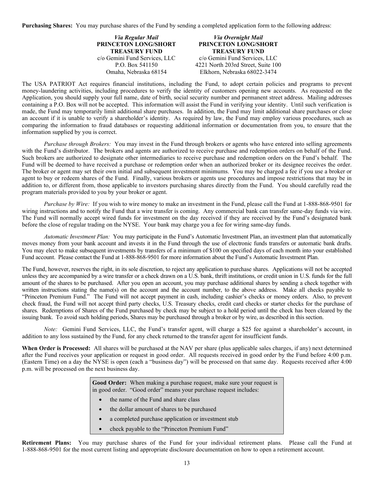**Purchasing Shares:** You may purchase shares of the Fund by sending a completed application form to the following address:

*Via Regular Mail* **PRINCETON LONG/SHORT TREASURY FUND** c/o Gemini Fund Services, LLC P.O. Box 541150 Omaha, Nebraska 68154

#### *Via Overnight Mail* **PRINCETON LONG/SHORT TREASURY FUND** c/o Gemini Fund Services, LLC 4221 North 203rd Street, Suite 100 Elkhorn, Nebraska 68022-3474

The USA PATRIOT Act requires financial institutions, including the Fund, to adopt certain policies and programs to prevent money-laundering activities, including procedures to verify the identity of customers opening new accounts. As requested on the Application, you should supply your full name, date of birth, social security number and permanent street address. Mailing addresses containing a P.O. Box will not be accepted. This information will assist the Fund in verifying your identity. Until such verification is made, the Fund may temporarily limit additional share purchases. In addition, the Fund may limit additional share purchases or close an account if it is unable to verify a shareholder's identity. As required by law, the Fund may employ various procedures, such as comparing the information to fraud databases or requesting additional information or documentation from you, to ensure that the information supplied by you is correct.

*Purchase through Brokers:* You may invest in the Fund through brokers or agents who have entered into selling agreements with the Fund's distributor. The brokers and agents are authorized to receive purchase and redemption orders on behalf of the Fund. Such brokers are authorized to designate other intermediaries to receive purchase and redemption orders on the Fund's behalf. The Fund will be deemed to have received a purchase or redemption order when an authorized broker or its designee receives the order. The broker or agent may set their own initial and subsequent investment minimums. You may be charged a fee if you use a broker or agent to buy or redeem shares of the Fund. Finally, various brokers or agents use procedures and impose restrictions that may be in addition to, or different from, those applicable to investors purchasing shares directly from the Fund. You should carefully read the program materials provided to you by your broker or agent.

*Purchase by Wire:* If you wish to wire money to make an investment in the Fund, please call the Fund at 1-888-868-9501 for wiring instructions and to notify the Fund that a wire transfer is coming. Any commercial bank can transfer same-day funds via wire. The Fund will normally accept wired funds for investment on the day received if they are received by the Fund's designated bank before the close of regular trading on the NYSE. Your bank may charge you a fee for wiring same-day funds.

*Automatic Investment Plan:* You may participate in the Fund's Automatic Investment Plan, an investment plan that automatically moves money from your bank account and invests it in the Fund through the use of electronic funds transfers or automatic bank drafts. You may elect to make subsequent investments by transfers of a minimum of \$100 on specified days of each month into your established Fund account. Please contact the Fund at 1-888-868-9501 for more information about the Fund's Automatic Investment Plan.

The Fund, however, reserves the right, in its sole discretion, to reject any application to purchase shares. Applications will not be accepted unless they are accompanied by a wire transfer or a check drawn on a U.S. bank, thrift institutions, or credit union in U.S. funds for the full amount of the shares to be purchased. After you open an account, you may purchase additional shares by sending a check together with written instructions stating the name(s) on the account and the account number, to the above address. Make all checks payable to "Princeton Premium Fund." The Fund will not accept payment in cash, including cashier's checks or money orders. Also, to prevent check fraud, the Fund will not accept third party checks, U.S. Treasury checks, credit card checks or starter checks for the purchase of shares. Redemptions of Shares of the Fund purchased by check may be subject to a hold period until the check has been cleared by the issuing bank. To avoid such holding periods, Shares may be purchased through a broker or by wire, as described in this section.

*Note:* Gemini Fund Services, LLC, the Fund's transfer agent, will charge a \$25 fee against a shareholder's account, in addition to any loss sustained by the Fund, for any check returned to the transfer agent for insufficient funds.

**When Order is Processed:** All shares will be purchased at the NAV per share (plus applicable sales charges, if any) next determined after the Fund receives your application or request in good order. All requests received in good order by the Fund before 4:00 p.m. (Eastern Time) on a day the NYSE is open (each a "business day") will be processed on that same day. Requests received after 4:00 p.m. will be processed on the next business day.

> **Good Order:** When making a purchase request, make sure your request is in good order. "Good order" means your purchase request includes:

- the name of the Fund and share class
- the dollar amount of shares to be purchased
- a completed purchase application or investment stub
- check payable to the "Princeton Premium Fund"

<span id="page-16-0"></span>**Retirement Plans:** You may purchase shares of the Fund for your individual retirement plans. Please call the Fund at 1-888-868-9501 for the most current listing and appropriate disclosure documentation on how to open a retirement account.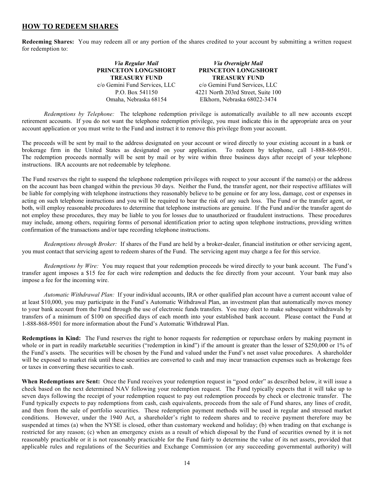### **HOW TO REDEEM SHARES**

**Redeeming Shares:** You may redeem all or any portion of the shares credited to your account by submitting a written request for redemption to:

> *Via Regular Mail* **PRINCETON LONG/SHORT TREASURY FUND** c/o Gemini Fund Services, LLC P.O. Box 541150 Omaha, Nebraska 68154 *Via Overnight Mail* **PRINCETON LONG/SHORT TREASURY FUND** c/o Gemini Fund Services, LLC 4221 North 203rd Street, Suite 100 Elkhorn, Nebraska 68022-3474

*Redemptions by Telephone:* The telephone redemption privilege is automatically available to all new accounts except retirement accounts. If you do not want the telephone redemption privilege, you must indicate this in the appropriate area on your account application or you must write to the Fund and instruct it to remove this privilege from your account.

The proceeds will be sent by mail to the address designated on your account or wired directly to your existing account in a bank or brokerage firm in the United States as designated on your application. To redeem by telephone, call 1-888-868-9501. The redemption proceeds normally will be sent by mail or by wire within three business days after receipt of your telephone instructions. IRA accounts are not redeemable by telephone.

The Fund reserves the right to suspend the telephone redemption privileges with respect to your account if the name(s) or the address on the account has been changed within the previous 30 days. Neither the Fund, the transfer agent, nor their respective affiliates will be liable for complying with telephone instructions they reasonably believe to be genuine or for any loss, damage, cost or expenses in acting on such telephone instructions and you will be required to bear the risk of any such loss. The Fund or the transfer agent, or both, will employ reasonable procedures to determine that telephone instructions are genuine. If the Fund and/or the transfer agent do not employ these procedures, they may be liable to you for losses due to unauthorized or fraudulent instructions. These procedures may include, among others, requiring forms of personal identification prior to acting upon telephone instructions, providing written confirmation of the transactions and/or tape recording telephone instructions.

*Redemptions through Broker:* If shares of the Fund are held by a broker-dealer, financial institution or other servicing agent, you must contact that servicing agent to redeem shares of the Fund. The servicing agent may charge a fee for this service.

*Redemptions by Wire:* You may request that your redemption proceeds be wired directly to your bank account. The Fund's transfer agent imposes a \$15 fee for each wire redemption and deducts the fee directly from your account. Your bank may also impose a fee for the incoming wire.

*Automatic Withdrawal Plan:* If your individual accounts, IRA or other qualified plan account have a current account value of at least \$10,000, you may participate in the Fund's Automatic Withdrawal Plan, an investment plan that automatically moves money to your bank account from the Fund through the use of electronic funds transfers. You may elect to make subsequent withdrawals by transfers of a minimum of \$100 on specified days of each month into your established bank account. Please contact the Fund at 1-888-868-9501 for more information about the Fund's Automatic Withdrawal Plan.

**Redemptions in Kind:** The Fund reserves the right to honor requests for redemption or repurchase orders by making payment in whole or in part in readily marketable securities ("redemption in kind") if the amount is greater than the lesser of \$250,000 or 1% of the Fund's assets. The securities will be chosen by the Fund and valued under the Fund's net asset value procedures. A shareholder will be exposed to market risk until these securities are converted to cash and may incur transaction expenses such as brokerage fees or taxes in converting these securities to cash.

**When Redemptions are Sent:** Once the Fund receives your redemption request in "good order" as described below, it will issue a check based on the next determined NAV following your redemption request. The Fund typically expects that it will take up to seven days following the receipt of your redemption request to pay out redemption proceeds by check or electronic transfer. The Fund typically expects to pay redemptions from cash, cash equivalents, proceeds from the sale of Fund shares, any lines of credit, and then from the sale of portfolio securities. These redemption payment methods will be used in regular and stressed market conditions. However, under the 1940 Act, a shareholder's right to redeem shares and to receive payment therefore may be suspended at times (a) when the NYSE is closed, other than customary weekend and holiday; (b) when trading on that exchange is restricted for any reason; (c) when an emergency exists as a result of which disposal by the Fund of securities owned by it is not reasonably practicable or it is not reasonably practicable for the Fund fairly to determine the value of its net assets, provided that applicable rules and regulations of the Securities and Exchange Commission (or any succeeding governmental authority) will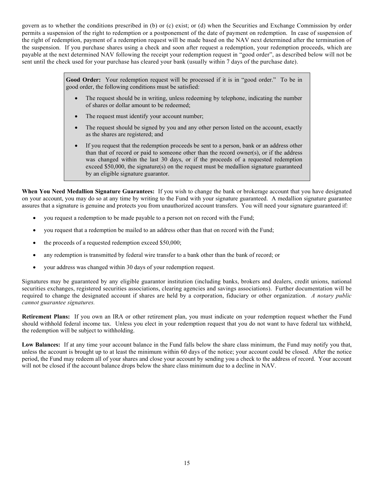govern as to whether the conditions prescribed in (b) or (c) exist; or (d) when the Securities and Exchange Commission by order permits a suspension of the right to redemption or a postponement of the date of payment on redemption. In case of suspension of the right of redemption, payment of a redemption request will be made based on the NAV next determined after the termination of the suspension. If you purchase shares using a check and soon after request a redemption, your redemption proceeds, which are payable at the next determined NAV following the receipt your redemption request in "good order", as described below will not be sent until the check used for your purchase has cleared your bank (usually within 7 days of the purchase date).

> **Good Order:** Your redemption request will be processed if it is in "good order." To be in good order, the following conditions must be satisfied:

- The request should be in writing, unless redeeming by telephone, indicating the number of shares or dollar amount to be redeemed;
- The request must identify your account number;
- The request should be signed by you and any other person listed on the account, exactly as the shares are registered; and
- If you request that the redemption proceeds be sent to a person, bank or an address other than that of record or paid to someone other than the record owner(s), or if the address was changed within the last 30 days, or if the proceeds of a requested redemption exceed \$50,000, the signature(s) on the request must be medallion signature guaranteed by an eligible signature guarantor.

**When You Need Medallion Signature Guarantees:** If you wish to change the bank or brokerage account that you have designated on your account, you may do so at any time by writing to the Fund with your signature guaranteed. A medallion signature guarantee assures that a signature is genuine and protects you from unauthorized account transfers. You will need your signature guaranteed if:

- you request a redemption to be made payable to a person not on record with the Fund;
- you request that a redemption be mailed to an address other than that on record with the Fund;
- the proceeds of a requested redemption exceed \$50,000;
- any redemption is transmitted by federal wire transfer to a bank other than the bank of record; or
- your address was changed within 30 days of your redemption request.

Signatures may be guaranteed by any eligible guarantor institution (including banks, brokers and dealers, credit unions, national securities exchanges, registered securities associations, clearing agencies and savings associations). Further documentation will be required to change the designated account if shares are held by a corporation, fiduciary or other organization. *A notary public cannot guarantee signatures.* 

**Retirement Plans:** If you own an IRA or other retirement plan, you must indicate on your redemption request whether the Fund should withhold federal income tax. Unless you elect in your redemption request that you do not want to have federal tax withheld, the redemption will be subject to withholding.

Low **Balances:** If at any time your account balance in the Fund falls below the share class minimum, the Fund may notify you that, unless the account is brought up to at least the minimum within 60 days of the notice; your account could be closed. After the notice period, the Fund may redeem all of your shares and close your account by sending you a check to the address of record. Your account will not be closed if the account balance drops below the share class minimum due to a decline in NAV.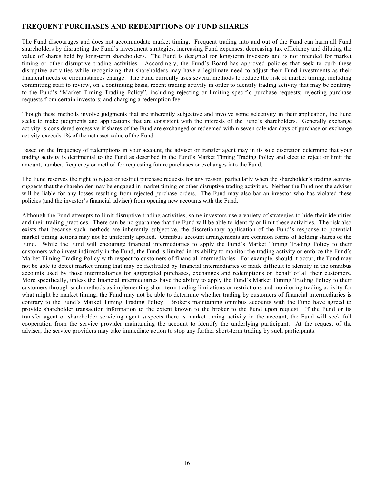### <span id="page-19-0"></span>**FREQUENT PURCHASES AND REDEMPTIONS OF FUND SHARES**

The Fund discourages and does not accommodate market timing. Frequent trading into and out of the Fund can harm all Fund shareholders by disrupting the Fund's investment strategies, increasing Fund expenses, decreasing tax efficiency and diluting the value of shares held by long-term shareholders. The Fund is designed for long-term investors and is not intended for market timing or other disruptive trading activities. Accordingly, the Fund's Board has approved policies that seek to curb these disruptive activities while recognizing that shareholders may have a legitimate need to adjust their Fund investments as their financial needs or circumstances change. The Fund currently uses several methods to reduce the risk of market timing, including committing staff to review, on a continuing basis, recent trading activity in order to identify trading activity that may be contrary to the Fund's "Market Timing Trading Policy", including rejecting or limiting specific purchase requests; rejecting purchase requests from certain investors; and charging a redemption fee.

Though these methods involve judgments that are inherently subjective and involve some selectivity in their application, the Fund seeks to make judgments and applications that are consistent with the interests of the Fund's shareholders. Generally exchange activity is considered excessive if shares of the Fund are exchanged or redeemed within seven calendar days of purchase or exchange activity exceeds 1% of the net asset value of the Fund.

Based on the frequency of redemptions in your account, the adviser or transfer agent may in its sole discretion determine that your trading activity is detrimental to the Fund as described in the Fund's Market Timing Trading Policy and elect to reject or limit the amount, number, frequency or method for requesting future purchases or exchanges into the Fund.

The Fund reserves the right to reject or restrict purchase requests for any reason, particularly when the shareholder's trading activity suggests that the shareholder may be engaged in market timing or other disruptive trading activities. Neither the Fund nor the adviser will be liable for any losses resulting from rejected purchase orders. The Fund may also bar an investor who has violated these policies (and the investor's financial adviser) from opening new accounts with the Fund.

Although the Fund attempts to limit disruptive trading activities, some investors use a variety of strategies to hide their identities and their trading practices. There can be no guarantee that the Fund will be able to identify or limit these activities. The risk also exists that because such methods are inherently subjective, the discretionary application of the Fund's response to potential market timing actions may not be uniformly applied. Omnibus account arrangements are common forms of holding shares of the Fund. While the Fund will encourage financial intermediaries to apply the Fund's Market Timing Trading Policy to their customers who invest indirectly in the Fund, the Fund is limited in its ability to monitor the trading activity or enforce the Fund's Market Timing Trading Policy with respect to customers of financial intermediaries. For example, should it occur, the Fund may not be able to detect market timing that may be facilitated by financial intermediaries or made difficult to identify in the omnibus accounts used by those intermediaries for aggregated purchases, exchanges and redemptions on behalf of all their customers. More specifically, unless the financial intermediaries have the ability to apply the Fund's Market Timing Trading Policy to their customers through such methods as implementing short-term trading limitations or restrictions and monitoring trading activity for what might be market timing, the Fund may not be able to determine whether trading by customers of financial intermediaries is contrary to the Fund's Market Timing Trading Policy. Brokers maintaining omnibus accounts with the Fund have agreed to provide shareholder transaction information to the extent known to the broker to the Fund upon request. If the Fund or its transfer agent or shareholder servicing agent suspects there is market timing activity in the account, the Fund will seek full cooperation from the service provider maintaining the account to identify the underlying participant. At the request of the adviser, the service providers may take immediate action to stop any further short-term trading by such participants.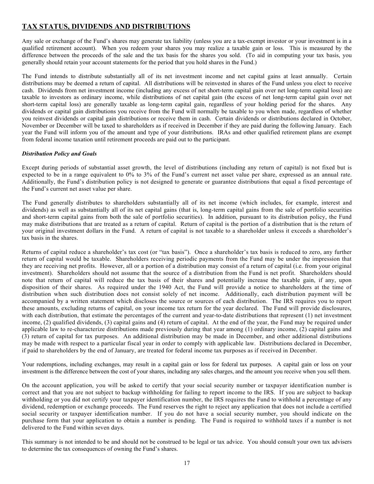### <span id="page-20-0"></span>**TAX STATUS, DIVIDENDS AND DISTRIBUTIONS**

Any sale or exchange of the Fund's shares may generate tax liability (unless you are a tax-exempt investor or your investment is in a qualified retirement account). When you redeem your shares you may realize a taxable gain or loss. This is measured by the difference between the proceeds of the sale and the tax basis for the shares you sold. (To aid in computing your tax basis, you generally should retain your account statements for the period that you hold shares in the Fund.)

The Fund intends to distribute substantially all of its net investment income and net capital gains at least annually. Certain distributions may be deemed a return of capital. All distributions will be reinvested in shares of the Fund unless you elect to receive cash. Dividends from net investment income (including any excess of net short-term capital gain over net long-term capital loss) are taxable to investors as ordinary income, while distributions of net capital gain (the excess of net long-term capital gain over net short-term capital loss) are generally taxable as long-term capital gain, regardless of your holding period for the shares. Any dividends or capital gain distributions you receive from the Fund will normally be taxable to you when made, regardless of whether you reinvest dividends or capital gain distributions or receive them in cash. Certain dividends or distributions declared in October, November or December will be taxed to shareholders as if received in December if they are paid during the following January. Each year the Fund will inform you of the amount and type of your distributions. IRAs and other qualified retirement plans are exempt from federal income taxation until retirement proceeds are paid out to the participant.

#### *Distribution Policy and Goals*

Except during periods of substantial asset growth, the level of distributions (including any return of capital) is not fixed but is expected to be in a range equivalent to 0% to 3% of the Fund's current net asset value per share, expressed as an annual rate. Additionally, the Fund's distribution policy is not designed to generate or guarantee distributions that equal a fixed percentage of the Fund's current net asset value per share.

The Fund generally distributes to shareholders substantially all of its net income (which includes, for example, interest and dividends) as well as substantially all of its net capital gains (that is, long-term capital gains from the sale of portfolio securities and short-term capital gains from both the sale of portfolio securities). In addition, pursuant to its distribution policy, the Fund may make distributions that are treated as a return of capital. Return of capital is the portion of a distribution that is the return of your original investment dollars in the Fund. A return of capital is not taxable to a shareholder unless it exceeds a shareholder's tax basis in the shares.

Returns of capital reduce a shareholder's tax cost (or "tax basis"). Once a shareholder's tax basis is reduced to zero, any further return of capital would be taxable. Shareholders receiving periodic payments from the Fund may be under the impression that they are receiving net profits. However, all or a portion of a distribution may consist of a return of capital (i.e. from your original investment). Shareholders should not assume that the source of a distribution from the Fund is net profit. Shareholders should note that return of capital will reduce the tax basis of their shares and potentially increase the taxable gain, if any, upon disposition of their shares. As required under the 1940 Act, the Fund will provide a notice to shareholders at the time of distribution when such distribution does not consist solely of net income. Additionally, each distribution payment will be accompanied by a written statement which discloses the source or sources of each distribution. The IRS requires you to report these amounts, excluding returns of capital, on your income tax return for the year declared. The Fund will provide disclosures, with each distribution, that estimate the percentages of the current and year-to-date distributions that represent (1) net investment income, (2) qualified dividends, (3) capital gains and (4) return of capital. At the end of the year, the Fund may be required under applicable law to re-characterize distributions made previously during that year among (1) ordinary income, (2) capital gains and (3) return of capital for tax purposes. An additional distribution may be made in December, and other additional distributions may be made with respect to a particular fiscal year in order to comply with applicable law. Distributions declared in December, if paid to shareholders by the end of January, are treated for federal income tax purposes as if received in December.

Your redemptions, including exchanges, may result in a capital gain or loss for federal tax purposes. A capital gain or loss on your investment is the difference between the cost of your shares, including any sales charges, and the amount you receive when you sell them.

On the account application, you will be asked to certify that your social security number or taxpayer identification number is correct and that you are not subject to backup withholding for failing to report income to the IRS. If you are subject to backup withholding or you did not certify your taxpayer identification number, the IRS requires the Fund to withhold a percentage of any dividend, redemption or exchange proceeds. The Fund reserves the right to reject any application that does not include a certified social security or taxpayer identification number. If you do not have a social security number, you should indicate on the purchase form that your application to obtain a number is pending. The Fund is required to withhold taxes if a number is not delivered to the Fund within seven days.

This summary is not intended to be and should not be construed to be legal or tax advice. You should consult your own tax advisers to determine the tax consequences of owning the Fund's shares.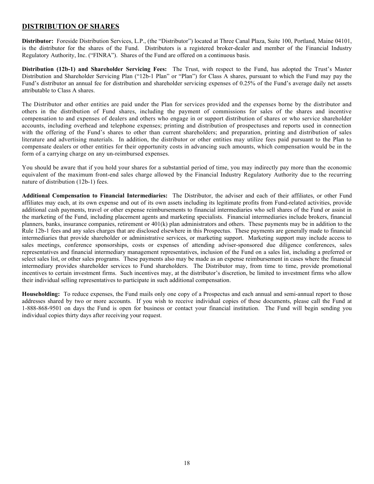### <span id="page-21-0"></span>**DISTRIBUTION OF SHARES**

<span id="page-21-1"></span>**Distributor:** Foreside Distribution Services, L.P., (the "Distributor") located at Three Canal Plaza, Suite 100, Portland, Maine 04101, is the distributor for the shares of the Fund. Distributors is a registered broker-dealer and member of the Financial Industry Regulatory Authority, Inc. ("FINRA"). Shares of the Fund are offered on a continuous basis.

<span id="page-21-2"></span>**Distribution (12b-1) and Shareholder Servicing Fees:** The Trust, with respect to the Fund, has adopted the Trust's Master Distribution and Shareholder Servicing Plan ("12b-1 Plan" or "Plan") for Class A shares, pursuant to which the Fund may pay the Fund's distributor an annual fee for distribution and shareholder servicing expenses of 0.25% of the Fund's average daily net assets attributable to Class A shares.

The Distributor and other entities are paid under the Plan for services provided and the expenses borne by the distributor and others in the distribution of Fund shares, including the payment of commissions for sales of the shares and incentive compensation to and expenses of dealers and others who engage in or support distribution of shares or who service shareholder accounts, including overhead and telephone expenses; printing and distribution of prospectuses and reports used in connection with the offering of the Fund's shares to other than current shareholders; and preparation, printing and distribution of sales literature and advertising materials. In addition, the distributor or other entities may utilize fees paid pursuant to the Plan to compensate dealers or other entities for their opportunity costs in advancing such amounts, which compensation would be in the form of a carrying charge on any un-reimbursed expenses.

You should be aware that if you hold your shares for a substantial period of time, you may indirectly pay more than the economic equivalent of the maximum front-end sales charge allowed by the Financial Industry Regulatory Authority due to the recurring nature of distribution (12b-1) fees.

<span id="page-21-3"></span>**Additional Compensation to Financial Intermediaries:** The Distributor, the adviser and each of their affiliates, or other Fund affiliates may each, at its own expense and out of its own assets including its legitimate profits from Fund-related activities, provide additional cash payments, travel or other expense reimbursements to financial intermediaries who sell shares of the Fund or assist in the marketing of the Fund, including placement agents and marketing specialists. Financial intermediaries include brokers, financial planners, banks, insurance companies, retirement or 401(k) plan administrators and others. These payments may be in addition to the Rule 12b-1 fees and any sales charges that are disclosed elsewhere in this Prospectus. These payments are generally made to financial intermediaries that provide shareholder or administrative services, or marketing support. Marketing support may include access to sales meetings, conference sponsorships, costs or expenses of attending adviser-sponsored due diligence conferences, sales representatives and financial intermediary management representatives, inclusion of the Fund on a sales list, including a preferred or select sales list, or other sales programs. These payments also may be made as an expense reimbursement in cases where the financial intermediary provides shareholder services to Fund shareholders. The Distributor may, from time to time, provide promotional incentives to certain investment firms. Such incentives may, at the distributor's discretion, be limited to investment firms who allow their individual selling representatives to participate in such additional compensation.

<span id="page-21-4"></span>**Householding:** To reduce expenses, the Fund mails only one copy of a Prospectus and each annual and semi-annual report to those addresses shared by two or more accounts. If you wish to receive individual copies of these documents, please call the Fund at 1-888-868-9501 on days the Fund is open for business or contact your financial institution. The Fund will begin sending you individual copies thirty days after receiving your request.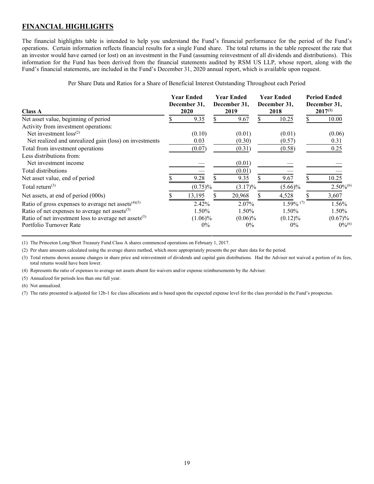### <span id="page-22-0"></span>**FINANCIAL HIGHLIGHTS**

The financial highlights table is intended to help you understand the Fund's financial performance for the period of the Fund's operations. Certain information reflects financial results for a single Fund share. The total returns in the table represent the rate that an investor would have earned (or lost) on an investment in the Fund (assuming reinvestment of all dividends and distributions). This information for the Fund has been derived from the financial statements audited by RSM US LLP, whose report, along with the Fund's financial statements, are included in the Fund's December 31, 2020 annual report, which is available upon request.

Per Share Data and Ratios for a Share of Beneficial Interest Outstanding Throughout each Period

| <b>Class A</b>                                             | <b>Year Ended</b><br>December 31,<br>2020 | <b>Year Ended</b><br>December 31,<br>2019 | <b>Year Ended</b><br>December 31,<br>2018 | <b>Period Ended</b><br>December 31,<br>$2017^{(1)}$ |
|------------------------------------------------------------|-------------------------------------------|-------------------------------------------|-------------------------------------------|-----------------------------------------------------|
| Net asset value, beginning of period                       | 9.35                                      | 9.67                                      | 10.25                                     | 10.00                                               |
| Activity from investment operations:                       |                                           |                                           |                                           |                                                     |
| Net investment $loss^{(2)}$                                | (0.10)                                    | (0.01)                                    | (0.01)                                    | (0.06)                                              |
| Net realized and unrealized gain (loss) on investments     | 0.03                                      | (0.30)                                    | (0.57)                                    | 0.31                                                |
| Total from investment operations                           | (0.07)                                    | (0.31)                                    | (0.58)                                    | 0.25                                                |
| Less distributions from:                                   |                                           |                                           |                                           |                                                     |
| Net investment income                                      |                                           | (0.01)                                    |                                           |                                                     |
| Total distributions                                        |                                           | (0.01)                                    |                                           |                                                     |
| Net asset value, end of period                             | 9.28                                      | 9.35                                      | 9.67                                      | 10.25                                               |
| Total return $(3)$                                         | $(0.75)\%$                                | $(3.17)\%$                                | $(5.66)\%$                                | $2.50\%^{(6)}$                                      |
| Net assets, at end of period (000s)                        | 13,195                                    | 20,968                                    | 4,528                                     | 3,607                                               |
| Ratio of gross expenses to average net assets $(4)(5)$     | 2.42%                                     | 2.07%                                     | $1.59\%$ <sup>(7)</sup>                   | 1.56%                                               |
| Ratio of net expenses to average net assets <sup>(5)</sup> | 1.50%                                     | 1.50%                                     | 1.50%                                     | 1.50%                                               |
| Ratio of net investment loss to average net assets $(5)$   | $(1.06)\%$                                | $(0.06)\%$                                | $(0.12)\%$                                | $(0.67)\%$                                          |
| Portfolio Turnover Rate                                    | $0\%$                                     | $0\%$                                     | $0\%$                                     | $0\%^{(6)}$                                         |

(1) The Princeton Long/Short Treasury Fund Class A shares commenced operations on February 1, 2017.

(2) Per share amounts calculated using the average shares method, which more appropriately presents the per share data for the period.

(3) Total returns shown assume changes in share price and reinvestment of dividends and capital gain distributions. Had the Adviser not waived a portion of its fees, total returns would have been lower.

(4) Represents the ratio of expenses to average net assets absent fee waivers and/or expense reimbursements by the Adviser.

(5) Annualized for periods less than one full year.

(6) Not annualized.

(7) The ratio presented is adjusted for 12b-1 fee class allocations and is based upon the expected expense level for the class provided in the Fund's prospectus.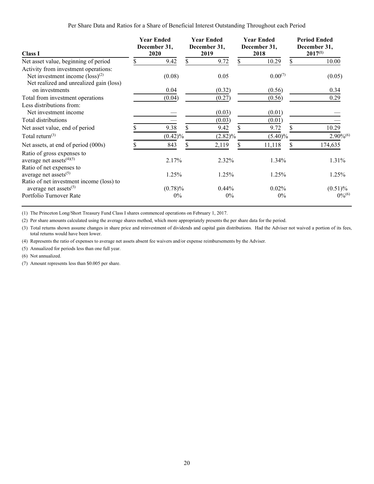#### Per Share Data and Ratios for a Share of Beneficial Interest Outstanding Throughout each Period

| <b>Class I</b>                                                                        | <b>Year Ended</b><br>December 31,<br>2020 | <b>Year Ended</b><br>December 31,<br>2019 | <b>Year Ended</b><br>December 31,<br>2018 | <b>Period Ended</b><br>December 31,<br>$2017^{(1)}$ |  |
|---------------------------------------------------------------------------------------|-------------------------------------------|-------------------------------------------|-------------------------------------------|-----------------------------------------------------|--|
| Net asset value, beginning of period                                                  | 9.42                                      | 9.72                                      | 10.29                                     | 10.00                                               |  |
| Activity from investment operations:                                                  |                                           |                                           |                                           |                                                     |  |
| Net investment income $(\text{loss})^{(2)}$                                           | (0.08)                                    | 0.05                                      | 0.00(7)                                   | (0.05)                                              |  |
| Net realized and unrealized gain (loss)                                               |                                           |                                           |                                           |                                                     |  |
| on investments                                                                        | 0.04                                      | (0.32)                                    | (0.56)                                    | 0.34                                                |  |
| Total from investment operations                                                      | (0.04)                                    | (0.27)                                    | (0.56)                                    | 0.29                                                |  |
| Less distributions from:                                                              |                                           |                                           |                                           |                                                     |  |
| Net investment income                                                                 |                                           | (0.03)                                    | (0.01)                                    |                                                     |  |
| Total distributions                                                                   |                                           | (0.03)                                    | (0.01)                                    |                                                     |  |
| Net asset value, end of period                                                        | 9.38                                      | 9.42                                      | 9.72                                      | 10.29                                               |  |
| Total return $(3)$                                                                    | $(0.42)\%$                                | $(2.82)\%$                                | $(5.40)\%$                                | $2.90\%^{(6)}$                                      |  |
| Net assets, at end of period (000s)                                                   | 843                                       | 2,119                                     | 11,118                                    | 174,635                                             |  |
| Ratio of gross expenses to<br>average net assets $(4)(5)$<br>Ratio of net expenses to | 2.17%                                     | 2.32%                                     | 1.34%                                     | 1.31%                                               |  |
| average net assets $(5)$                                                              | 1.25%                                     | 1.25%                                     | 1.25%                                     | 1.25%                                               |  |
| Ratio of net investment income (loss) to<br>average net assets <sup>(5)</sup>         | $(0.78)\%$                                | $0.44\%$                                  | $0.02\%$                                  | $(0.51)\%$                                          |  |
| Portfolio Turnover Rate                                                               | $0\%$                                     | $0\%$                                     | $0\%$                                     | $0\%^{(6)}$                                         |  |

(1) The Princeton Long/Short Treasury Fund Class I shares commenced operations on February 1, 2017.

(2) Per share amounts calculated using the average shares method, which more appropriately presents the per share data for the period.

(3) Total returns shown assume changes in share price and reinvestment of dividends and capital gain distributions. Had the Adviser not waived a portion of its fees, total returns would have been lower.

(4) Represents the ratio of expenses to average net assets absent fee waivers and/or expense reimbursements by the Adviser.

(5) Annualized for periods less than one full year.

(6) Not annualized.

(7) Amount represents less than \$0.005 per share.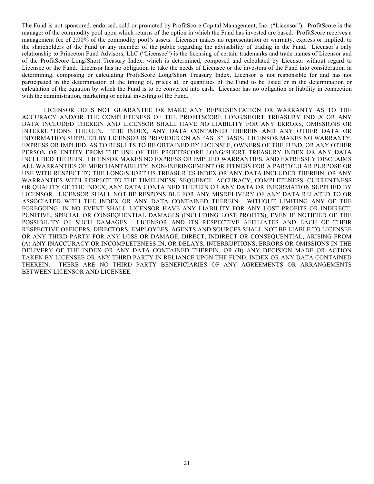The Fund is not sponsored, endorsed, sold or promoted by ProfitScore Capital Management, Inc. ("Licensor"). ProfitScore is the manager of the commodity pool upon which returns of the option in which the Fund has invested are based. ProfitScore receives a management fee of 2.00% of the commodity pool's assets. Licensor makes no representation or warranty, express or implied, to the shareholders of the Fund or any member of the public regarding the advisability of trading in the Fund. Licensor's only relationship to Princeton Fund Advisors, LLC ("Licensee") is the licensing of certain trademarks and trade names of Licensor and of the ProfitScore Long/Short Treasury Index, which is determined, composed and calculated by Licensor without regard to Licensee or the Fund. Licensor has no obligation to take the needs of Licensee or the investors of the Fund into consideration in determining, composing or calculating ProfitScore Long/Short Treasury Index, Licensor is not responsible for and has not participated in the determination of the timing of, prices at, or quantities of the Fund to be listed or in the determination or calculation of the equation by which the Fund is to be converted into cash. Licensor has no obligation or liability in connection with the administration, marketing or actual investing of the Fund.

LICENSOR DOES NOT GUARANTEE OR MAKE ANY REPRESENTATION OR WARRANTY AS TO THE ACCURACY AND/OR THE COMPLETENESS OF THE PROFITSCORE LONG/SHORT TREASURY INDEX OR ANY DATA INCLUDED THEREIN AND LICENSOR SHALL HAVE NO LIABILITY FOR ANY ERRORS, OMISSIONS OR INTERRUPTIONS THEREIN. THE INDEX, ANY DATA CONTAINED THEREIN AND ANY OTHER DATA OR INFORMATION SUPPLIED BY LICENSOR IS PROVIDED ON AN "AS IS" BASIS. LICENSOR MAKES NO WARRANTY, EXPRESS OR IMPLIED, AS TO RESULTS TO BE OBTAINED BY LICENSEE, OWNERS OF THE FUND, OR ANY OTHER PERSON OR ENTITY FROM THE USE OF THE PROFITSCORE LONG/SHORT TREASURY INDEX OR ANY DATA INCLUDED THEREIN. LICENSOR MAKES NO EXPRESS OR IMPLIED WARRANTIES, AND EXPRESSLY DISCLAIMS ALL WARRANTIES OF MERCHANTABILITY, NON-INFRINGEMENT OR FITNESS FOR A PARTICULAR PURPOSE OR USE WITH RESPECT TO THE LONG/SHORT US TREASURIES INDEX OR ANY DATA INCLUDED THEREIN, OR ANY WARRANTIES WITH RESPECT TO THE TIMELINESS, SEQUENCE, ACCURACY, COMPLETENESS, CURRENTNESS OR QUALITY OF THE INDEX, ANY DATA CONTAINED THEREIN OR ANY DATA OR INFORMATION SUPPLIED BY LICENSOR. LICENSOR SHALL NOT BE RESPONSIBLE FOR ANY MISDELIVERY OF ANY DATA RELATED TO OR ASSOCIATED WITH THE INDEX OR ANY DATA CONTAINED THEREIN. WITHOUT LIMITING ANY OF THE FOREGOING, IN NO EVENT SHALL LICENSOR HAVE ANY LIABILITY FOR ANY LOST PROFITS OR INDIRECT, PUNITIVE, SPECIAL OR CONSEQUENTIAL DAMAGES (INCLUDING LOST PROFITS), EVEN IF NOTIFIED OF THE POSSIBILITY OF SUCH DAMAGES. LICENSOR AND ITS RESPECTIVE AFFILIATES AND EACH OF THEIR RESPECTIVE OFFICERS, DIRECTORS, EMPLOYEES, AGENTS AND SOURCES SHALL NOT BE LIABLE TO LICENSEE OR ANY THIRD PARTY FOR ANY LOSS OR DAMAGE, DIRECT, INDIRECT OR CONSEQUENTIAL, ARISING FROM (A) ANY INACCURACY OR INCOMPLETENESS IN, OR DELAYS, INTERRUPTIONS, ERRORS OR OMISSIONS IN THE DELIVERY OF THE INDEX OR ANY DATA CONTAINED THEREIN, OR (B) ANY DECISION MADE OR ACTION TAKEN BY LICENSEE OR ANY THIRD PARTY IN RELIANCE UPON THE FUND, INDEX OR ANY DATA CONTAINED THEREIN. THERE ARE NO THIRD PARTY BENEFICIARIES OF ANY AGREEMENTS OR ARRANGEMENTS BETWEEN LICENSOR AND LICENSEE.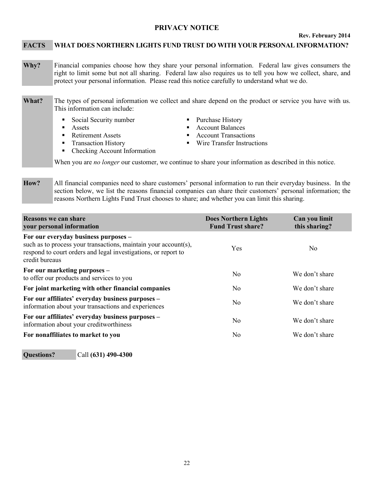### <span id="page-25-0"></span>**PRIVACY NOTICE**

#### **Rev. February 2014**

#### **FACTS WHAT DOES NORTHERN LIGHTS FUND TRUST DO WITH YOUR PERSONAL INFORMATION?**

- **Why?** Financial companies choose how they share your personal information. Federal law gives consumers the right to limit some but not all sharing. Federal law also requires us to tell you how we collect, share, and protect your personal information. Please read this notice carefully to understand what we do.
- **What?** The types of personal information we collect and share depend on the product or service you have with us. This information can include:
	- Social Security number Purchase History
	-
	- Retirement Assets **Account Transactions** Account Transactions
	-
	- Checking Account Information
- 
- **Assets** Assets **Account Balances** 
	-
- Transaction History Wire Transfer Instructions

When you are *no longer* our customer, we continue to share your information as described in this notice.

**How?** All financial companies need to share customers' personal information to run their everyday business. In the section below, we list the reasons financial companies can share their customers' personal information; the reasons Northern Lights Fund Trust chooses to share; and whether you can limit this sharing.

| Reasons we can share<br>your personal information                                                                                                                                           | <b>Does Northern Lights</b><br><b>Fund Trust share?</b> | Can you limit<br>this sharing? |
|---------------------------------------------------------------------------------------------------------------------------------------------------------------------------------------------|---------------------------------------------------------|--------------------------------|
| For our everyday business purposes -<br>such as to process your transactions, maintain your account(s),<br>respond to court orders and legal investigations, or report to<br>credit bureaus | Yes                                                     | N <sub>0</sub>                 |
| For our marketing purposes -<br>to offer our products and services to you                                                                                                                   | N <sub>0</sub>                                          | We don't share                 |
| For joint marketing with other financial companies                                                                                                                                          | N <sub>o</sub>                                          | We don't share                 |
| For our affiliates' everyday business purposes -<br>information about your transactions and experiences                                                                                     | N <sub>o</sub>                                          | We don't share                 |
| For our affiliates' everyday business purposes -<br>information about your creditworthiness                                                                                                 | N <sub>0</sub>                                          | We don't share                 |
| For nonaffiliates to market to you                                                                                                                                                          | No                                                      | We don't share                 |

**Questions?** Call **(631) 490-4300**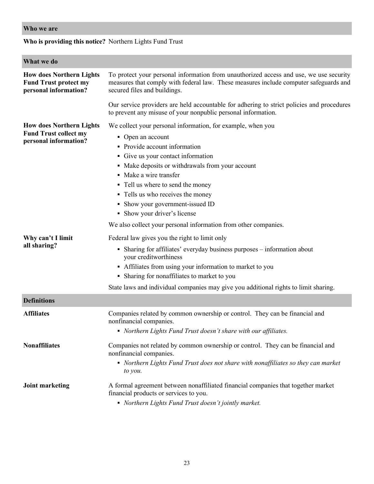### **Who we are**

### **Who is providing this notice?** Northern Lights Fund Trust

| What we do                                                                               |                                                                                                                                                                                                                                                                                                                                                                                                                            |  |  |  |
|------------------------------------------------------------------------------------------|----------------------------------------------------------------------------------------------------------------------------------------------------------------------------------------------------------------------------------------------------------------------------------------------------------------------------------------------------------------------------------------------------------------------------|--|--|--|
| <b>How does Northern Lights</b><br><b>Fund Trust protect my</b><br>personal information? | To protect your personal information from unauthorized access and use, we use security<br>measures that comply with federal law. These measures include computer safeguards and<br>secured files and buildings.                                                                                                                                                                                                            |  |  |  |
|                                                                                          | Our service providers are held accountable for adhering to strict policies and procedures<br>to prevent any misuse of your nonpublic personal information.                                                                                                                                                                                                                                                                 |  |  |  |
| <b>How does Northern Lights</b><br><b>Fund Trust collect my</b><br>personal information? | We collect your personal information, for example, when you<br>• Open an account<br>• Provide account information<br>• Give us your contact information<br>• Make deposits or withdrawals from your account<br>• Make a wire transfer<br>• Tell us where to send the money<br>• Tells us who receives the money<br>• Show your government-issued ID<br>• Show your driver's license                                        |  |  |  |
| Why can't I limit<br>all sharing?                                                        | We also collect your personal information from other companies.<br>Federal law gives you the right to limit only<br>• Sharing for affiliates' everyday business purposes – information about<br>your creditworthiness<br>• Affiliates from using your information to market to you<br>• Sharing for nonaffiliates to market to you<br>State laws and individual companies may give you additional rights to limit sharing. |  |  |  |
| <b>Definitions</b>                                                                       |                                                                                                                                                                                                                                                                                                                                                                                                                            |  |  |  |
| <b>Affiliates</b>                                                                        | Companies related by common ownership or control. They can be financial and<br>nonfinancial companies.<br>• Northern Lights Fund Trust doesn't share with our affiliates.                                                                                                                                                                                                                                                  |  |  |  |
| <b>Nonaffiliates</b>                                                                     | Companies not related by common ownership or control. They can be financial and<br>nonfinancial companies.<br>• Northern Lights Fund Trust does not share with nonaffiliates so they can market<br>to you.                                                                                                                                                                                                                 |  |  |  |
| <b>Joint marketing</b>                                                                   | A formal agreement between nonaffiliated financial companies that together market<br>financial products or services to you.<br>• Northern Lights Fund Trust doesn't jointly market.                                                                                                                                                                                                                                        |  |  |  |